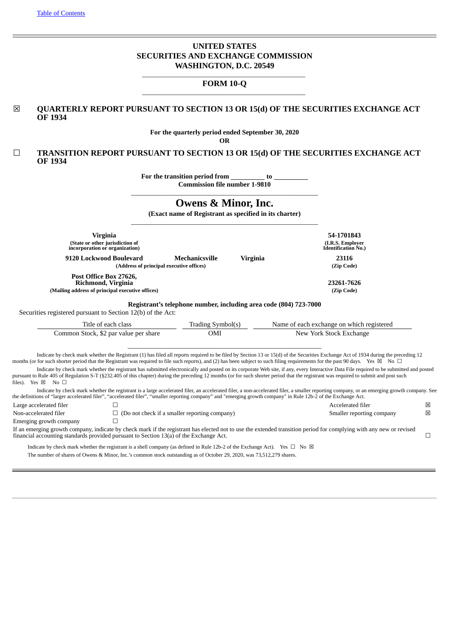# **UNITED STATES SECURITIES AND EXCHANGE COMMISSION WASHINGTON, D.C. 20549**

# \_\_\_\_\_\_\_\_\_\_\_\_\_\_\_\_\_\_\_\_\_\_\_\_\_\_\_\_\_\_\_\_\_\_\_\_\_\_\_\_\_\_\_\_\_\_\_\_ **FORM 10-Q** \_\_\_\_\_\_\_\_\_\_\_\_\_\_\_\_\_\_\_\_\_\_\_\_\_\_\_\_\_\_\_\_\_\_\_\_\_\_\_\_\_\_\_\_\_\_\_\_

# ☒ **QUARTERLY REPORT PURSUANT TO SECTION 13 OR 15(d) OF THE SECURITIES EXCHANGE ACT OF 1934**

**For the quarterly period ended September 30, 2020**

**OR**

☐ **TRANSITION REPORT PURSUANT TO SECTION 13 OR 15(d) OF THE SECURITIES EXCHANGE ACT OF 1934**

> **For the transition period from to Commission file number 1-9810**

# \_\_\_\_\_\_\_\_\_\_\_\_\_\_\_\_\_\_\_\_\_\_\_\_\_\_\_\_\_\_\_\_\_\_\_\_\_\_\_\_\_\_\_\_\_\_\_\_\_\_\_\_\_\_\_ **Owens & Minor, Inc.**

**(Exact name of Registrant as specified in its charter)**

|                                                                                        | <b>Virginia</b>                                                                                                                            |                                                                   |                 | 54-1701843                                                                                                                                                                                                                                                                                                                                                                            |   |
|----------------------------------------------------------------------------------------|--------------------------------------------------------------------------------------------------------------------------------------------|-------------------------------------------------------------------|-----------------|---------------------------------------------------------------------------------------------------------------------------------------------------------------------------------------------------------------------------------------------------------------------------------------------------------------------------------------------------------------------------------------|---|
|                                                                                        | (State or other jurisdiction of<br>incorporation or organization)                                                                          |                                                                   |                 | (I.R.S. Employer<br>Identification No.)                                                                                                                                                                                                                                                                                                                                               |   |
|                                                                                        | 9120 Lockwood Boulevard                                                                                                                    | <b>Mechanicsville</b>                                             | <b>Virginia</b> | 23116                                                                                                                                                                                                                                                                                                                                                                                 |   |
|                                                                                        | (Address of principal executive offices)                                                                                                   |                                                                   |                 | (Zip Code)                                                                                                                                                                                                                                                                                                                                                                            |   |
|                                                                                        | Post Office Box 27626,<br>Richmond, Virginia<br>(Mailing address of principal executive offices)                                           |                                                                   |                 | 23261-7626<br>(Zip Code)                                                                                                                                                                                                                                                                                                                                                              |   |
|                                                                                        |                                                                                                                                            | Registrant's telephone number, including area code (804) 723-7000 |                 |                                                                                                                                                                                                                                                                                                                                                                                       |   |
| Securities registered pursuant to Section 12(b) of the Act:                            |                                                                                                                                            |                                                                   |                 |                                                                                                                                                                                                                                                                                                                                                                                       |   |
|                                                                                        |                                                                                                                                            |                                                                   |                 |                                                                                                                                                                                                                                                                                                                                                                                       |   |
|                                                                                        | Title of each class                                                                                                                        | Trading Symbol(s)                                                 |                 | Name of each exchange on which registered                                                                                                                                                                                                                                                                                                                                             |   |
|                                                                                        | Common Stock, \$2 par value per share                                                                                                      | OMI                                                               |                 | New York Stock Exchange                                                                                                                                                                                                                                                                                                                                                               |   |
|                                                                                        |                                                                                                                                            |                                                                   |                 |                                                                                                                                                                                                                                                                                                                                                                                       |   |
|                                                                                        |                                                                                                                                            |                                                                   |                 | Indicate by check mark whether the Registrant (1) has filed all reports required to be filed by Section 13 or 15(d) of the Securities Exchange Act of 1934 during the preceding 12<br>months (or for such shorter period that the Registrant was required to file such reports), and (2) has been subject to such filing requirements for the past 90 days. Yes $\boxtimes$ No $\Box$ |   |
| files). Yes ⊠ No □                                                                     |                                                                                                                                            |                                                                   |                 | Indicate by check mark whether the registrant has submitted electronically and posted on its corporate Web site, if any, every Interactive Data File required to be submitted and posted<br>pursuant to Rule 405 of Regulation S-T (§232.405 of this chapter) during the preceding 12 months (or for such shorter period that the registrant was required to submit and post such     |   |
|                                                                                        |                                                                                                                                            |                                                                   |                 | Indicate by check mark whether the registrant is a large accelerated filer, an accelerated filer, a non-accelerated filer, a smaller reporting company, or an emerging growth company. See<br>the definitions of "larger accelerated filer", "accelerated filer", "smaller reporting company" and "emerging growth company" in Rule 12b-2 of the Exchange Act.                        |   |
| Large accelerated filer                                                                |                                                                                                                                            |                                                                   |                 | Accelerated filer                                                                                                                                                                                                                                                                                                                                                                     | ⊠ |
| Non-accelerated filer                                                                  |                                                                                                                                            | $\Box$ (Do not check if a smaller reporting company)              |                 | Smaller reporting company                                                                                                                                                                                                                                                                                                                                                             | 図 |
| Emerging growth company                                                                | П                                                                                                                                          |                                                                   |                 |                                                                                                                                                                                                                                                                                                                                                                                       |   |
| financial accounting standards provided pursuant to Section 13(a) of the Exchange Act. |                                                                                                                                            |                                                                   |                 | If an emerging growth company, indicate by check mark if the registrant has elected not to use the extended transition period for complying with any new or revised                                                                                                                                                                                                                   | □ |
|                                                                                        | Indicate by check mark whether the registrant is a shell company (as defined in Rule 12b-2 of the Exchange Act). Yes $\Box$ No $\boxtimes$ |                                                                   |                 |                                                                                                                                                                                                                                                                                                                                                                                       |   |
|                                                                                        | The number of charge of Ourons, 2, Minor Inc. is common stock outstanding as of October 20, 2020, viso 72, 512, 270 charge                 |                                                                   |                 |                                                                                                                                                                                                                                                                                                                                                                                       |   |

<span id="page-0-0"></span>The number of shares of Owens & Minor, Inc.'s common stock outstanding as of October 29, 2020, was 73,512,279 shares.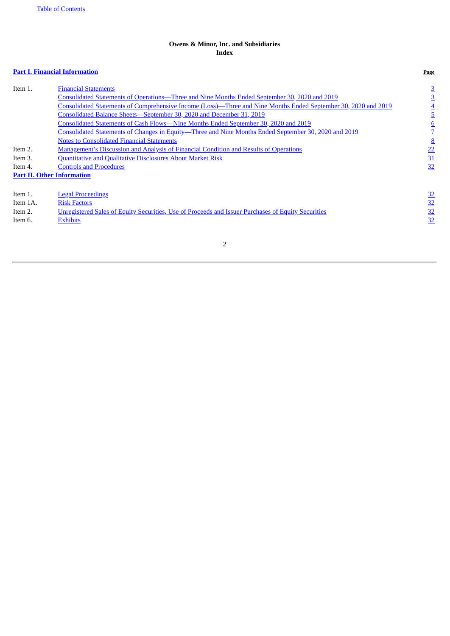# **Owens & Minor, Inc. and Subsidiaries Index**

# **Part I. Financial [Information](#page-1-0) Page**

<span id="page-1-0"></span>

| Item 1.                           | <b>Financial Statements</b>                                                                                    | <u>3</u> |
|-----------------------------------|----------------------------------------------------------------------------------------------------------------|----------|
|                                   | Consolidated Statements of Operations—Three and Nine Months Ended September 30, 2020 and 2019                  | <u>3</u> |
|                                   | Consolidated Statements of Comprehensive Income (Loss)—Three and Nine Months Ended September 30, 2020 and 2019 |          |
|                                   | Consolidated Balance Sheets-September 30, 2020 and December 31, 2019                                           | <u>כ</u> |
|                                   | Consolidated Statements of Cash Flows—Nine Months Ended September 30, 2020 and 2019                            | <u>6</u> |
|                                   | Consolidated Statements of Changes in Equity-Three and Nine Months Ended September 30, 2020 and 2019           |          |
|                                   | <b>Notes to Consolidated Financial Statements</b>                                                              | <u>8</u> |
| Item 2.                           | <b>Management's Discussion and Analysis of Financial Condition and Results of Operations</b>                   | 22       |
| Item 3.                           | <b>Quantitative and Qualitative Disclosures About Market Risk</b>                                              | 31       |
| Item 4.                           | <b>Controls and Procedures</b>                                                                                 | 32       |
| <b>Part II. Other Information</b> |                                                                                                                |          |
|                                   |                                                                                                                |          |
| Item 1.                           | <b>Legal Proceedings</b>                                                                                       | 32       |
| Item 1A.                          | <b>Risk Factors</b>                                                                                            | 32       |
| Item 2.                           | Unregistered Sales of Equity Securities, Use of Proceeds and Issuer Purchases of Equity Securities             | 32       |
| Item 6.                           | <b>Exhibits</b>                                                                                                | 32       |
|                                   |                                                                                                                |          |

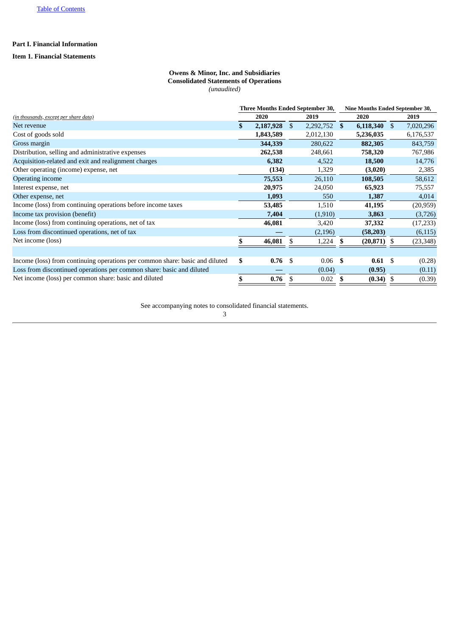# **Part I. Financial Information**

# <span id="page-2-1"></span><span id="page-2-0"></span>**Item 1. Financial Statements**

# **Owens & Minor, Inc. and Subsidiaries Consolidated Statements of Operations** *(unaudited)*

|                                                                              | <b>Three Months Ended September 30,</b> |           |     |                |      | Nine Months Ended September 30, |      |           |  |
|------------------------------------------------------------------------------|-----------------------------------------|-----------|-----|----------------|------|---------------------------------|------|-----------|--|
| (in thousands, except per share data)                                        |                                         | 2020      |     | 2019           | 2020 |                                 |      | 2019      |  |
| Net revenue                                                                  |                                         | 2,187,928 | \$  | $2,292,752$ \$ |      | $6,118,340$ \$                  |      | 7,020,296 |  |
| Cost of goods sold                                                           |                                         | 1,843,589 |     | 2,012,130      |      | 5,236,035                       |      | 6,176,537 |  |
| Gross margin                                                                 |                                         | 344,339   |     | 280,622        |      | 882,305                         |      | 843,759   |  |
| Distribution, selling and administrative expenses                            |                                         | 262,538   |     | 248,661        |      | 758,320                         |      | 767,986   |  |
| Acquisition-related and exit and realignment charges                         |                                         | 6,382     |     | 4,522          |      | 18,500                          |      | 14,776    |  |
| Other operating (income) expense, net                                        |                                         | (134)     |     | 1,329          |      | (3,020)                         |      | 2,385     |  |
| Operating income                                                             |                                         | 75,553    |     | 26,110         |      | 108,505                         |      | 58,612    |  |
| Interest expense, net                                                        |                                         | 20,975    |     | 24,050         |      | 65,923                          |      | 75,557    |  |
| Other expense, net                                                           |                                         | 1,093     |     | 550            |      | 1,387                           |      | 4,014     |  |
| Income (loss) from continuing operations before income taxes                 |                                         | 53,485    |     | 1,510          |      | 41,195                          |      | (20, 959) |  |
| Income tax provision (benefit)                                               |                                         | 7,404     |     | (1,910)        |      | 3,863                           |      | (3,726)   |  |
| Income (loss) from continuing operations, net of tax                         |                                         | 46,081    |     | 3,420          |      | 37,332                          |      | (17,233)  |  |
| Loss from discontinued operations, net of tax                                |                                         |           |     | (2, 196)       |      | (58, 203)                       |      | (6, 115)  |  |
| Net income (loss)                                                            |                                         | 46,081    |     | 1,224          |      | $(20, 871)$ \$                  |      | (23, 348) |  |
|                                                                              |                                         |           |     |                |      |                                 |      |           |  |
| Income (loss) from continuing operations per common share: basic and diluted | \$                                      | 0.76      | -\$ | 0.06           | - \$ | 0.61                            | - \$ | (0.28)    |  |
| Loss from discontinued operations per common share: basic and diluted        |                                         |           |     | (0.04)         |      | (0.95)                          |      | (0.11)    |  |
| Net income (loss) per common share: basic and diluted                        |                                         | 0.76      | S   | 0.02           |      | (0.34)                          |      | (0.39)    |  |

<span id="page-2-2"></span>See accompanying notes to consolidated financial statements.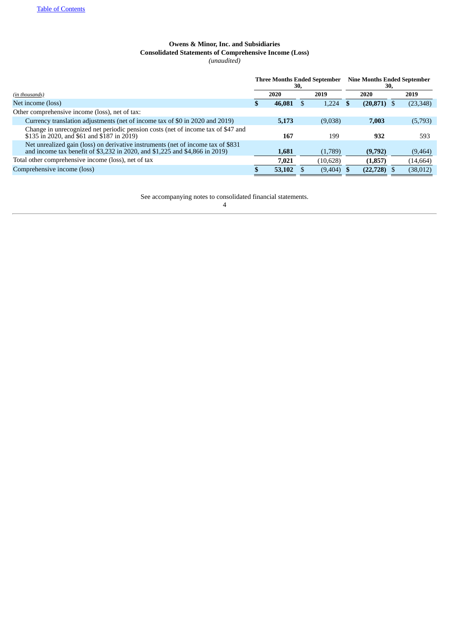# **Owens & Minor, Inc. and Subsidiaries Consolidated Statements of Comprehensive Income (Loss)** *(unaudited)*

|                                                                                                                                                                 | <b>Three Months Ended September</b><br>30, |        |  | 30,       | <b>Nine Months Ended September</b> |           |
|-----------------------------------------------------------------------------------------------------------------------------------------------------------------|--------------------------------------------|--------|--|-----------|------------------------------------|-----------|
| (in thousands)                                                                                                                                                  |                                            | 2020   |  | 2019      | 2020                               | 2019      |
| Net income (loss)                                                                                                                                               |                                            | 46,081 |  | 1,224     | $(20, 871)$ \$                     | (23, 348) |
| Other comprehensive income (loss), net of tax:                                                                                                                  |                                            |        |  |           |                                    |           |
| Currency translation adjustments (net of income tax of \$0 in 2020 and 2019)                                                                                    |                                            | 5,173  |  | (9,038)   | 7,003                              | (5,793)   |
| Change in unrecognized net periodic pension costs (net of income tax of \$47 and<br>\$135 in 2020, and \$61 and \$187 in 2019)                                  |                                            | 167    |  | 199       | 932                                | 593       |
| Net unrealized gain (loss) on derivative instruments (net of income tax of \$831<br>and income tax benefit of \$3,232 in 2020, and \$1,225 and \$4,866 in 2019) |                                            | 1,681  |  | (1,789)   | (9,792)                            | (9, 464)  |
| Total other comprehensive income (loss), net of tax                                                                                                             |                                            | 7.021  |  | (10, 628) | (1, 857)                           | (14, 664) |
| Comprehensive income (loss)                                                                                                                                     |                                            | 53,102 |  | (9,404)   | $(22,728)$ \$                      | (38, 012) |

<span id="page-3-0"></span>See accompanying notes to consolidated financial statements.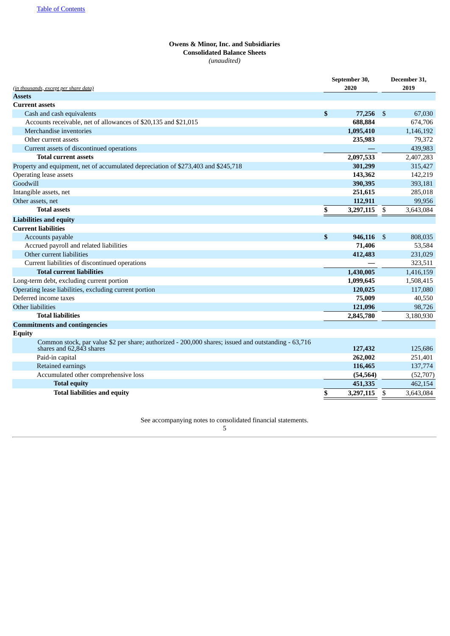# **Owens & Minor, Inc. and Subsidiaries Consolidated Balance Sheets** *(unaudited)*

|                                                                                                                                 | September 30,   |     | December 31,<br>2019 |
|---------------------------------------------------------------------------------------------------------------------------------|-----------------|-----|----------------------|
| (in thousands, except per share data)<br><b>Assets</b>                                                                          | 2020            |     |                      |
| <b>Current assets</b>                                                                                                           |                 |     |                      |
| Cash and cash equivalents                                                                                                       | \$<br>77,256    | -\$ | 67,030               |
| Accounts receivable, net of allowances of \$20,135 and \$21,015                                                                 | 688,884         |     | 674,706              |
| Merchandise inventories                                                                                                         | 1,095,410       |     | 1,146,192            |
| Other current assets                                                                                                            | 235,983         |     | 79,372               |
| Current assets of discontinued operations                                                                                       |                 |     | 439,983              |
| <b>Total current assets</b>                                                                                                     | 2,097,533       |     | 2,407,283            |
| Property and equipment, net of accumulated depreciation of \$273,403 and \$245,718                                              | 301,299         |     | 315,427              |
| Operating lease assets                                                                                                          | 143,362         |     | 142,219              |
| Goodwill                                                                                                                        | 390,395         |     | 393,181              |
| Intangible assets, net                                                                                                          | 251,615         |     | 285,018              |
| Other assets, net                                                                                                               | 112,911         |     | 99,956               |
| <b>Total assets</b>                                                                                                             | \$<br>3,297,115 | \$  | 3,643,084            |
| <b>Liabilities and equity</b>                                                                                                   |                 |     |                      |
| <b>Current liabilities</b>                                                                                                      |                 |     |                      |
| Accounts payable                                                                                                                | \$<br>946,116   | \$  | 808,035              |
| Accrued payroll and related liabilities                                                                                         | 71,406          |     | 53,584               |
| Other current liabilities                                                                                                       | 412,483         |     | 231,029              |
| Current liabilities of discontinued operations                                                                                  |                 |     | 323,511              |
| <b>Total current liabilities</b>                                                                                                | 1,430,005       |     | 1,416,159            |
| Long-term debt, excluding current portion                                                                                       | 1,099,645       |     | 1,508,415            |
| Operating lease liabilities, excluding current portion                                                                          | 120,025         |     | 117,080              |
| Deferred income taxes                                                                                                           | 75,009          |     | 40,550               |
| Other liabilities                                                                                                               | 121,096         |     | 98,726               |
| <b>Total liabilities</b>                                                                                                        | 2,845,780       |     | 3,180,930            |
| <b>Commitments and contingencies</b>                                                                                            |                 |     |                      |
| <b>Equity</b>                                                                                                                   |                 |     |                      |
| Common stock, par value \$2 per share; authorized - 200,000 shares; issued and outstanding - 63,716<br>shares and 62,843 shares | 127,432         |     | 125.686              |
| Paid-in capital                                                                                                                 | 262,002         |     | 251,401              |
| Retained earnings                                                                                                               | 116,465         |     | 137,774              |
| Accumulated other comprehensive loss                                                                                            | (54, 564)       |     | (52,707)             |
| <b>Total equity</b>                                                                                                             | 451,335         |     | 462,154              |
| <b>Total liabilities and equity</b>                                                                                             | \$<br>3,297,115 | \$  | 3,643,084            |

<span id="page-4-0"></span>See accompanying notes to consolidated financial statements.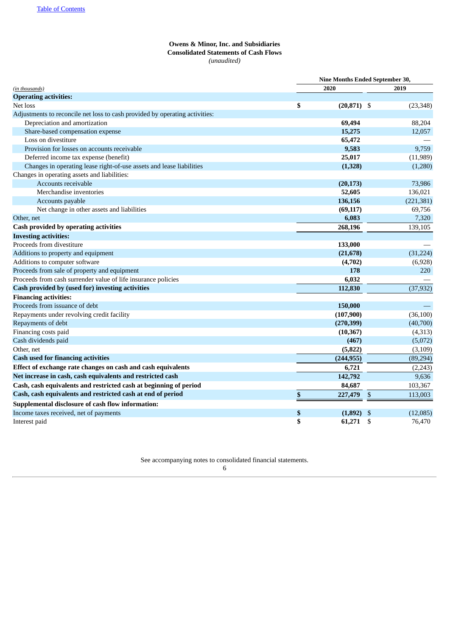# **Owens & Minor, Inc. and Subsidiaries Consolidated Statements of Cash Flows** *(unaudited)*

|                                                                             | Nine Months Ended September 30, |     |            |  |  |
|-----------------------------------------------------------------------------|---------------------------------|-----|------------|--|--|
| (in thousands)                                                              | 2020                            |     | 2019       |  |  |
| <b>Operating activities:</b>                                                |                                 |     |            |  |  |
| Net loss                                                                    | \$<br>$(20,871)$ \$             |     | (23, 348)  |  |  |
| Adjustments to reconcile net loss to cash provided by operating activities: |                                 |     |            |  |  |
| Depreciation and amortization                                               | 69,494                          |     | 88,204     |  |  |
| Share-based compensation expense                                            | 15,275                          |     | 12,057     |  |  |
| Loss on divestiture                                                         | 65,472                          |     |            |  |  |
| Provision for losses on accounts receivable                                 | 9,583                           |     | 9,759      |  |  |
| Deferred income tax expense (benefit)                                       | 25,017                          |     | (11,989)   |  |  |
| Changes in operating lease right-of-use assets and lease liabilities        | (1, 328)                        |     | (1,280)    |  |  |
| Changes in operating assets and liabilities:                                |                                 |     |            |  |  |
| Accounts receivable                                                         | (20, 173)                       |     | 73,986     |  |  |
| Merchandise inventories                                                     | 52,605                          |     | 136,021    |  |  |
| Accounts payable                                                            | 136,156                         |     | (221, 381) |  |  |
| Net change in other assets and liabilities                                  | (69, 117)                       |     | 69,756     |  |  |
| Other, net                                                                  | 6,083                           |     | 7,320      |  |  |
| <b>Cash provided by operating activities</b>                                | 268,196                         |     | 139,105    |  |  |
| <b>Investing activities:</b>                                                |                                 |     |            |  |  |
| Proceeds from divestiture                                                   | 133,000                         |     |            |  |  |
| Additions to property and equipment                                         | (21, 678)                       |     | (31, 224)  |  |  |
| Additions to computer software                                              | (4,702)                         |     | (6,928)    |  |  |
| Proceeds from sale of property and equipment                                | 178                             |     | 220        |  |  |
| Proceeds from cash surrender value of life insurance policies               | 6,032                           |     |            |  |  |
| Cash provided by (used for) investing activities                            | 112,830                         |     | (37, 932)  |  |  |
| <b>Financing activities:</b>                                                |                                 |     |            |  |  |
| Proceeds from issuance of debt                                              | 150,000                         |     |            |  |  |
| Repayments under revolving credit facility                                  | (107,900)                       |     | (36, 100)  |  |  |
| Repayments of debt                                                          | (270, 399)                      |     | (40,700)   |  |  |
| Financing costs paid                                                        | (10, 367)                       |     | (4,313)    |  |  |
| Cash dividends paid                                                         | (467)                           |     | (5,072)    |  |  |
| Other, net                                                                  | (5, 822)                        |     | (3, 109)   |  |  |
| <b>Cash used for financing activities</b>                                   | (244, 955)                      |     | (89, 294)  |  |  |
| Effect of exchange rate changes on cash and cash equivalents                | 6,721                           |     | (2, 243)   |  |  |
| Net increase in cash, cash equivalents and restricted cash                  | 142,792                         |     | 9,636      |  |  |
| Cash, cash equivalents and restricted cash at beginning of period           | 84,687                          |     | 103,367    |  |  |
| Cash, cash equivalents and restricted cash at end of period                 | \$<br>227,479                   | \$  | 113,003    |  |  |
| Supplemental disclosure of cash flow information:                           |                                 |     |            |  |  |
| Income taxes received, net of payments                                      | \$<br>(1, 892)                  | -\$ | (12,085)   |  |  |
| Interest paid                                                               | \$<br>61,271                    | \$  | 76,470     |  |  |
|                                                                             |                                 |     |            |  |  |

<span id="page-5-0"></span>See accompanying notes to consolidated financial statements.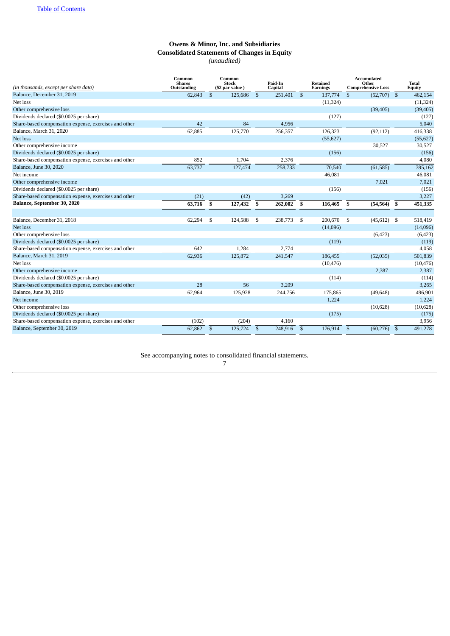# **Owens & Minor, Inc. and Subsidiaries Consolidated Statements of Changes in Equity** *(unaudited)*

| (in thousands, except per share data)                 | Common<br><b>Shares</b><br>Outstanding |              | Common<br><b>Stock</b><br>(\$2 par value) |              | Paid-In<br>Capital |              | Retained<br><b>Earnings</b> |                | <b>Accumulated</b><br>Other<br><b>Comprehensive Loss</b> |                | <b>Total</b><br>Equity |
|-------------------------------------------------------|----------------------------------------|--------------|-------------------------------------------|--------------|--------------------|--------------|-----------------------------|----------------|----------------------------------------------------------|----------------|------------------------|
| Balance, December 31, 2019                            | 62,843                                 | $\mathbb{S}$ | 125,686                                   | $\mathbb{S}$ | 251,401            | $\mathbb{S}$ | 137,774                     | $\mathfrak{S}$ | (52,707)                                                 | $\mathfrak{s}$ | 462,154                |
| Net loss                                              |                                        |              |                                           |              |                    |              | (11, 324)                   |                |                                                          |                | (11, 324)              |
| Other comprehensive loss                              |                                        |              |                                           |              |                    |              |                             |                | (39, 405)                                                |                | (39, 405)              |
| Dividends declared (\$0.0025 per share)               |                                        |              |                                           |              |                    |              | (127)                       |                |                                                          |                | (127)                  |
| Share-based compensation expense, exercises and other | 42                                     |              | 84                                        |              | 4,956              |              |                             |                |                                                          |                | 5,040                  |
| Balance, March 31, 2020                               | 62,885                                 |              | 125,770                                   |              | 256,357            |              | 126,323                     |                | (92, 112)                                                |                | 416,338                |
| Net loss                                              |                                        |              |                                           |              |                    |              | (55, 627)                   |                |                                                          |                | (55, 627)              |
| Other comprehensive income                            |                                        |              |                                           |              |                    |              |                             |                | 30,527                                                   |                | 30,527                 |
| Dividends declared (\$0.0025 per share)               |                                        |              |                                           |              |                    |              | (156)                       |                |                                                          |                | (156)                  |
| Share-based compensation expense, exercises and other | 852                                    |              | 1,704                                     |              | 2,376              |              |                             |                |                                                          |                | 4,080                  |
| Balance, June 30, 2020                                | 63,737                                 |              | 127,474                                   |              | 258,733            |              | 70,540                      |                | (61, 585)                                                |                | 395,162                |
| Net income                                            |                                        |              |                                           |              |                    |              | 46,081                      |                |                                                          |                | 46,081                 |
| Other comprehensive income                            |                                        |              |                                           |              |                    |              |                             |                | 7,021                                                    |                | 7,021                  |
| Dividends declared (\$0.0025 per share)               |                                        |              |                                           |              |                    |              | (156)                       |                |                                                          |                | (156)                  |
| Share-based compensation expense, exercises and other | (21)                                   |              | (42)                                      |              | 3,269              |              |                             |                |                                                          |                | 3,227                  |
| <b>Balance, September 30, 2020</b>                    | 63,716                                 | \$           | 127,432                                   | \$           | 262,002            | \$           | 116,465                     | \$             | (54, 564)                                                | \$             | 451,335                |
|                                                       |                                        |              |                                           |              |                    |              |                             |                |                                                          |                |                        |
| Balance, December 31, 2018                            | 62,294                                 | \$           | 124,588                                   | \$           | 238,773            | \$           | 200,670                     | \$             | (45, 612)                                                | \$             | 518,419                |
| Net loss                                              |                                        |              |                                           |              |                    |              | (14,096)                    |                |                                                          |                | (14,096)               |
| Other comprehensive loss                              |                                        |              |                                           |              |                    |              |                             |                | (6, 423)                                                 |                | (6,423)                |
| Dividends declared (\$0.0025 per share)               |                                        |              |                                           |              |                    |              | (119)                       |                |                                                          |                | (119)                  |
| Share-based compensation expense, exercises and other | 642                                    |              | 1,284                                     |              | 2,774              |              |                             |                |                                                          |                | 4,058                  |
| Balance, March 31, 2019                               | 62,936                                 |              | 125,872                                   |              | 241,547            |              | 186,455                     |                | (52,035)                                                 |                | 501,839                |
| Net loss                                              |                                        |              |                                           |              |                    |              | (10, 476)                   |                |                                                          |                | (10, 476)              |
| Other comprehensive income                            |                                        |              |                                           |              |                    |              |                             |                | 2,387                                                    |                | 2,387                  |
| Dividends declared (\$0.0025 per share)               |                                        |              |                                           |              |                    |              | (114)                       |                |                                                          |                | (114)                  |
| Share-based compensation expense, exercises and other | 28                                     |              | 56                                        |              | 3,209              |              |                             |                |                                                          |                | 3,265                  |
| Balance, June 30, 2019                                | 62,964                                 |              | 125,928                                   |              | 244,756            |              | 175,865                     |                | (49, 648)                                                |                | 496,901                |
| Net income                                            |                                        |              |                                           |              |                    |              | 1,224                       |                |                                                          |                | 1,224                  |
| Other comprehensive loss                              |                                        |              |                                           |              |                    |              |                             |                | (10,628)                                                 |                | (10, 628)              |
| Dividends declared (\$0.0025 per share)               |                                        |              |                                           |              |                    |              | (175)                       |                |                                                          |                | (175)                  |
| Share-based compensation expense, exercises and other | (102)                                  |              | (204)                                     |              | 4.160              |              |                             |                |                                                          |                | 3,956                  |
| Balance, September 30, 2019                           | 62,862                                 | $\mathbb{S}$ | 125,724                                   | $\mathbb{S}$ | 248,916            | $\mathbb{S}$ | 176,914                     | $\mathbb{S}$   | (60, 276)                                                | $\mathfrak{S}$ | 491,278                |

<span id="page-6-0"></span>See accompanying notes to consolidated financial statements.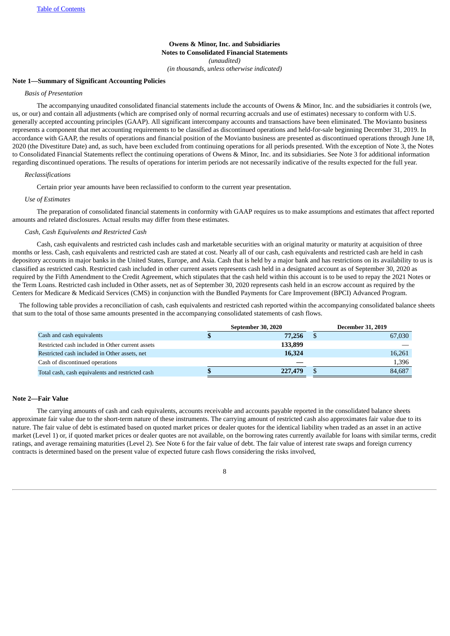**Owens & Minor, Inc. and Subsidiaries Notes to Consolidated Financial Statements** *(unaudited) (in thousands, unless otherwise indicated)*

## **Note 1—Summary of Significant Accounting Policies**

## *Basis of Presentation*

The accompanying unaudited consolidated financial statements include the accounts of Owens & Minor, Inc. and the subsidiaries it controls (we, us, or our) and contain all adjustments (which are comprised only of normal recurring accruals and use of estimates) necessary to conform with U.S. generally accepted accounting principles (GAAP). All significant intercompany accounts and transactions have been eliminated. The Movianto business represents a component that met accounting requirements to be classified as discontinued operations and held-for-sale beginning December 31, 2019. In accordance with GAAP, the results of operations and financial position of the Movianto business are presented as discontinued operations through June 18, 2020 (the Divestiture Date) and, as such, have been excluded from continuing operations for all periods presented. With the exception of Note 3, the Notes to Consolidated Financial Statements reflect the continuing operations of Owens & Minor, Inc. and its subsidiaries. See Note 3 for additional information regarding discontinued operations. The results of operations for interim periods are not necessarily indicative of the results expected for the full year.

#### *Reclassifications*

Certain prior year amounts have been reclassified to conform to the current year presentation.

#### *Use of Estimates*

The preparation of consolidated financial statements in conformity with GAAP requires us to make assumptions and estimates that affect reported amounts and related disclosures. Actual results may differ from these estimates.

## *Cash, Cash Equivalents and Restricted Cash*

Cash, cash equivalents and restricted cash includes cash and marketable securities with an original maturity or maturity at acquisition of three months or less. Cash, cash equivalents and restricted cash are stated at cost. Nearly all of our cash, cash equivalents and restricted cash are held in cash depository accounts in major banks in the United States, Europe, and Asia. Cash that is held by a major bank and has restrictions on its availability to us is classified as restricted cash. Restricted cash included in other current assets represents cash held in a designated account as of September 30, 2020 as required by the Fifth Amendment to the Credit Agreement, which stipulates that the cash held within this account is to be used to repay the 2021 Notes or the Term Loans. Restricted cash included in Other assets, net as of September 30, 2020 represents cash held in an escrow account as required by the Centers for Medicare & Medicaid Services (CMS) in conjunction with the Bundled Payments for Care Improvement (BPCI) Advanced Program.

The following table provides a reconciliation of cash, cash equivalents and restricted cash reported within the accompanying consolidated balance sheets that sum to the total of those same amounts presented in the accompanying consolidated statements of cash flows.

|                                                  | September 30, 2020 |         |  | <b>December 31, 2019</b> |
|--------------------------------------------------|--------------------|---------|--|--------------------------|
| Cash and cash equivalents                        | Ъ                  | 77,256  |  | 67,030                   |
| Restricted cash included in Other current assets |                    | 133,899 |  |                          |
| Restricted cash included in Other assets, net    |                    | 16,324  |  | 16,261                   |
| Cash of discontinued operations                  |                    |         |  | 1.396                    |
| Total cash, cash equivalents and restricted cash | ъ                  | 227,479 |  | 84,687                   |

#### **Note 2—Fair Value**

The carrying amounts of cash and cash equivalents, accounts receivable and accounts payable reported in the consolidated balance sheets approximate fair value due to the short-term nature of these instruments. The carrying amount of restricted cash also approximates fair value due to its nature. The fair value of debt is estimated based on quoted market prices or dealer quotes for the identical liability when traded as an asset in an active market (Level 1) or, if quoted market prices or dealer quotes are not available, on the borrowing rates currently available for loans with similar terms, credit ratings, and average remaining maturities (Level 2). See Note 6 for the fair value of debt. The fair value of interest rate swaps and foreign currency contracts is determined based on the present value of expected future cash flows considering the risks involved,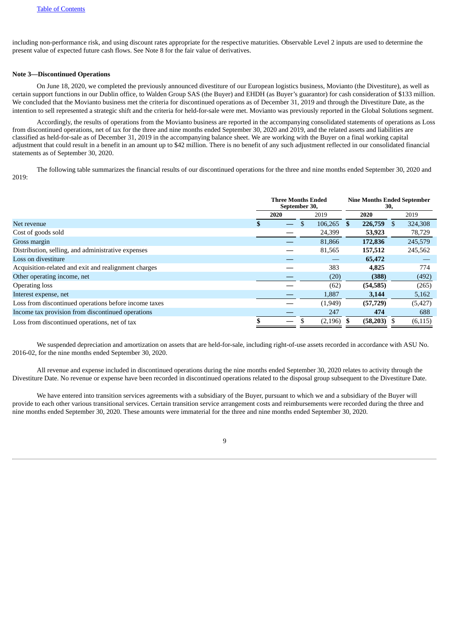including non-performance risk, and using discount rates appropriate for the respective maturities. Observable Level 2 inputs are used to determine the present value of expected future cash flows. See Note 8 for the fair value of derivatives.

## **Note 3—Discontinued Operations**

On June 18, 2020, we completed the previously announced divestiture of our European logistics business, Movianto (the Divestiture), as well as certain support functions in our Dublin office, to Walden Group SAS (the Buyer) and EHDH (as Buyer's guarantor) for cash consideration of \$133 million. We concluded that the Movianto business met the criteria for discontinued operations as of December 31, 2019 and through the Divestiture Date, as the intention to sell represented a strategic shift and the criteria for held-for-sale were met. Movianto was previously reported in the Global Solutions segment.

Accordingly, the results of operations from the Movianto business are reported in the accompanying consolidated statements of operations as Loss from discontinued operations, net of tax for the three and nine months ended September 30, 2020 and 2019, and the related assets and liabilities are classified as held-for-sale as of December 31, 2019 in the accompanying balance sheet. We are working with the Buyer on a final working capital adjustment that could result in a benefit in an amount up to \$42 million. There is no benefit of any such adjustment reflected in our consolidated financial statements as of September 30, 2020.

The following table summarizes the financial results of our discontinued operations for the three and nine months ended September 30, 2020 and 2019:

|                                                       | <b>Three Months Ended</b><br>September 30, |  |  |          | <b>Nine Months Ended September</b><br>30, |           |   |          |
|-------------------------------------------------------|--------------------------------------------|--|--|----------|-------------------------------------------|-----------|---|----------|
|                                                       | 2020<br>2019<br>2020                       |  |  |          |                                           | 2019      |   |          |
| Net revenue                                           | ж                                          |  |  | 106,265  | <sup>\$</sup>                             | 226,759   | S | 324,308  |
| Cost of goods sold                                    |                                            |  |  | 24,399   |                                           | 53,923    |   | 78,729   |
| Gross margin                                          |                                            |  |  | 81,866   |                                           | 172,836   |   | 245,579  |
| Distribution, selling, and administrative expenses    |                                            |  |  | 81,565   |                                           | 157,512   |   | 245,562  |
| Loss on divestiture                                   |                                            |  |  |          |                                           | 65,472    |   |          |
| Acquisition-related and exit and realignment charges  |                                            |  |  | 383      |                                           | 4,825     |   | 774      |
| Other operating income, net                           |                                            |  |  | (20)     |                                           | (388)     |   | (492)    |
| <b>Operating loss</b>                                 |                                            |  |  | (62)     |                                           | (54, 585) |   | (265)    |
| Interest expense, net                                 |                                            |  |  | 1,887    |                                           | 3,144     |   | 5,162    |
| Loss from discontinued operations before income taxes |                                            |  |  | (1,949)  |                                           | (57, 729) |   | (5, 427) |
| Income tax provision from discontinued operations     |                                            |  |  | 247      |                                           | 474       |   | 688      |
| Loss from discontinued operations, net of tax         |                                            |  |  | (2, 196) |                                           | (58, 203) |   | (6, 115) |

We suspended depreciation and amortization on assets that are held-for-sale, including right-of-use assets recorded in accordance with ASU No. 2016-02, for the nine months ended September 30, 2020.

All revenue and expense included in discontinued operations during the nine months ended September 30, 2020 relates to activity through the Divestiture Date. No revenue or expense have been recorded in discontinued operations related to the disposal group subsequent to the Divestiture Date.

We have entered into transition services agreements with a subsidiary of the Buyer, pursuant to which we and a subsidiary of the Buyer will provide to each other various transitional services. Certain transition service arrangement costs and reimbursements were recorded during the three and nine months ended September 30, 2020. These amounts were immaterial for the three and nine months ended September 30, 2020.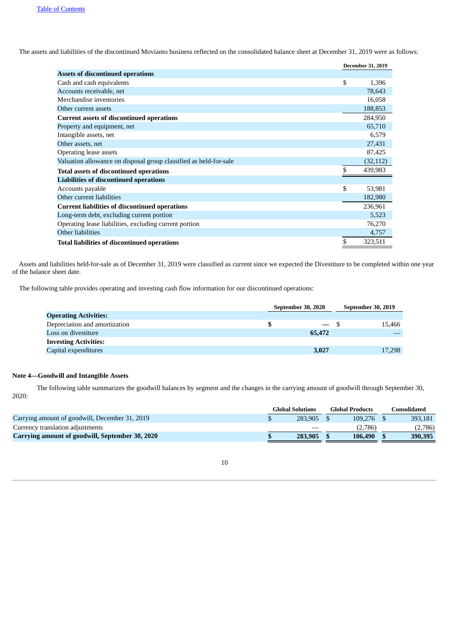The assets and liabilities of the discontinued Movianto business reflected on the consolidated balance sheet at December 31, 2019 were as follows:

|                                                                   | <b>December 31, 2019</b> |
|-------------------------------------------------------------------|--------------------------|
| <b>Assets of discontinued operations</b>                          |                          |
| Cash and cash equivalents                                         | \$<br>1,396              |
| Accounts receivable, net                                          | 78,643                   |
| Merchandise inventories                                           | 16,058                   |
| Other current assets                                              | 188,853                  |
| <b>Current assets of discontinued operations</b>                  | 284,950                  |
| Property and equipment, net                                       | 65,710                   |
| Intangible assets, net                                            | 6,579                    |
| Other assets, net                                                 | 27,431                   |
| Operating lease assets                                            | 87,425                   |
| Valuation allowance on disposal group classified as held-for-sale | (32, 112)                |
| <b>Total assets of discontinued operations</b>                    | \$<br>439,983            |
| <b>Liabilities of discontinued operations</b>                     |                          |
| Accounts payable                                                  | \$<br>53,981             |
| Other current liabilities                                         | 182,980                  |
| <b>Current liabilities of discontinued operations</b>             | 236,961                  |
| Long-term debt, excluding current portion                         | 5,523                    |
| Operating lease liabilities, excluding current portion            | 76,270                   |
| Other liabilities                                                 | 4,757                    |
| <b>Total liabilities of discontinued operations</b>               | \$<br>323,511            |

Assets and liabilities held-for-sale as of December 31, 2019 were classified as current since we expected the Divestiture to be completed within one year of the balance sheet date.

The following table provides operating and investing cash flow information for our discontinued operations:

|                               | September 30, 2020 | September 30, 2019 |        |  |
|-------------------------------|--------------------|--------------------|--------|--|
| <b>Operating Activities:</b>  |                    |                    |        |  |
| Depreciation and amortization |                    | $ \sim$            | 15.466 |  |
| Loss on divestiture           |                    | 65,472             |        |  |
| <b>Investing Activities:</b>  |                    |                    |        |  |
| Capital expenditures          |                    | 3,027              | 17,298 |  |

# **Note 4—Goodwill and Intangible Assets**

The following table summarizes the goodwill balances by segment and the changes in the carrying amount of goodwill through September 30, 2020:

|         |                         |         |                        | consolidated |
|---------|-------------------------|---------|------------------------|--------------|
| 283,905 |                         | 109,276 |                        | 393.181      |
|         |                         | (2.786) |                        | (2,786)      |
| 283,905 |                         | 106,490 |                        | 390,395      |
|         | <b>Global Solutions</b> |         | <b>Global Products</b> |              |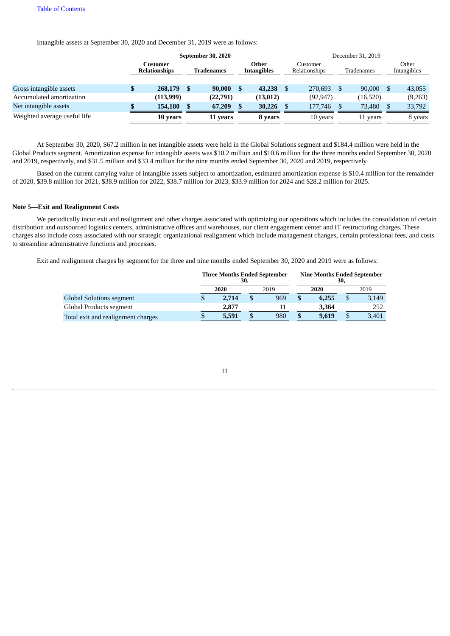Intangible assets at September 30, 2020 and December 31, 2019 were as follows:

|                              |                                  | September 30, 2020 |            |                             |     |                           |  | December 31, 2019 |            |                      |  |         |  |  |  |  |
|------------------------------|----------------------------------|--------------------|------------|-----------------------------|-----|---------------------------|--|-------------------|------------|----------------------|--|---------|--|--|--|--|
|                              | Customer<br><b>Relationships</b> |                    | Tradenames | Other<br><b>Intangibles</b> |     | Customer<br>Relationships |  |                   | Tradenames | Other<br>Intangibles |  |         |  |  |  |  |
|                              |                                  |                    |            |                             |     |                           |  |                   |            |                      |  |         |  |  |  |  |
| Gross intangible assets      |                                  | 268,179            |            | 90,000                      | - S | 43,238                    |  | 270,693           |            | 90,000               |  | 43,055  |  |  |  |  |
| Accumulated amortization     |                                  | (113,999)          |            | (22,791)                    |     | (13, 012)                 |  | (92, 947)         |            | (16, 520)            |  | (9,263) |  |  |  |  |
| Net intangible assets        |                                  | 154,180            |            | 67,209                      |     | 30,226                    |  | 177,746           |            | 73,480               |  | 33,792  |  |  |  |  |
| Weighted average useful life |                                  | 10 years           |            | 11 years                    |     | 8 years                   |  | 10 years          |            | 11 years             |  | 8 years |  |  |  |  |

At September 30, 2020, \$67.2 million in net intangible assets were held in the Global Solutions segment and \$184.4 million were held in the Global Products segment. Amortization expense for intangible assets was \$10.2 million and \$10.6 million for the three months ended September 30, 2020 and 2019, respectively, and \$31.5 million and \$33.4 million for the nine months ended September 30, 2020 and 2019, respectively.

Based on the current carrying value of intangible assets subject to amortization, estimated amortization expense is \$10.4 million for the remainder of 2020, \$39.8 million for 2021, \$38.9 million for 2022, \$38.7 million for 2023, \$33.9 million for 2024 and \$28.2 million for 2025.

### **Note 5—Exit and Realignment Costs**

We periodically incur exit and realignment and other charges associated with optimizing our operations which includes the consolidation of certain distribution and outsourced logistics centers, administrative offices and warehouses, our client engagement center and IT restructuring charges. These charges also include costs associated with our strategic organizational realignment which include management changes, certain professional fees, and costs to streamline administrative functions and processes.

Exit and realignment charges by segment for the three and nine months ended September 30, 2020 and 2019 were as follows:

|                                    |              | <b>Three Months Ended September</b> | 30, |     | <b>Nine Months Ended September</b><br>30, |       |      |       |  |  |  |
|------------------------------------|--------------|-------------------------------------|-----|-----|-------------------------------------------|-------|------|-------|--|--|--|
|                                    | 2020<br>2019 |                                     |     |     |                                           | 2020  | 2019 |       |  |  |  |
| <b>Global Solutions segment</b>    | J            | 2.714                               |     | 969 |                                           | 6.255 | \$   | 3,149 |  |  |  |
| Global Products segment            |              | 2.877                               |     |     |                                           | 3.364 |      | 252   |  |  |  |
| Total exit and realignment charges | J            | 5,591                               |     | 980 |                                           | 9.619 | \$   | 3,401 |  |  |  |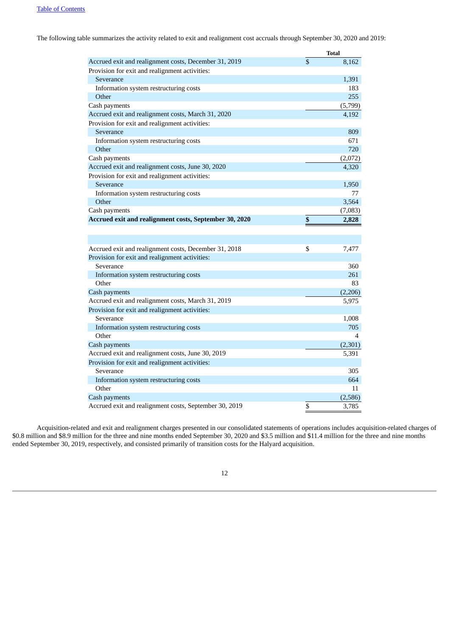The following table summarizes the activity related to exit and realignment cost accruals through September 30, 2020 and 2019:

|                                                        | <b>Total</b> |
|--------------------------------------------------------|--------------|
| Accrued exit and realignment costs, December 31, 2019  | \$<br>8,162  |
| Provision for exit and realignment activities:         |              |
| Severance                                              | 1,391        |
| Information system restructuring costs                 | 183          |
| Other                                                  | 255          |
| Cash payments                                          | (5,799)      |
| Accrued exit and realignment costs, March 31, 2020     | 4,192        |
| Provision for exit and realignment activities:         |              |
| Severance                                              | 809          |
| Information system restructuring costs                 | 671          |
| Other                                                  | 720          |
| Cash payments                                          | (2,072)      |
| Accrued exit and realignment costs, June 30, 2020      | 4,320        |
| Provision for exit and realignment activities:         |              |
| Severance                                              | 1,950        |
| Information system restructuring costs                 | 77           |
| Other                                                  | 3,564        |
| Cash payments                                          | (7,083)      |
| Accrued exit and realignment costs, September 30, 2020 | \$<br>2,828  |
|                                                        |              |
|                                                        |              |
| Accrued exit and realignment costs, December 31, 2018  | \$<br>7,477  |
| Provision for exit and realignment activities:         |              |
| Severance                                              | 360          |
| Information system restructuring costs                 | 261          |
| Other                                                  | 83           |
| Cash payments                                          | (2,206)      |
| Accrued exit and realignment costs, March 31, 2019     | 5,975        |
| Provision for exit and realignment activities:         |              |
| Severance                                              | 1,008        |
| Information system restructuring costs                 | 705          |
| Other                                                  | 4            |
| Cash payments                                          | (2,301)      |
| Accrued exit and realignment costs, June 30, 2019      | 5,391        |
| Provision for exit and realignment activities:         |              |
| Severance                                              | 305          |
| Information system restructuring costs                 | 664          |
| Other                                                  | 11           |
| Cash payments                                          | (2,586)      |
| Accrued exit and realignment costs, September 30, 2019 | \$<br>3,785  |

Acquisition-related and exit and realignment charges presented in our consolidated statements of operations includes acquisition-related charges of \$0.8 million and \$8.9 million for the three and nine months ended September 30, 2020 and \$3.5 million and \$11.4 million for the three and nine months ended September 30, 2019, respectively, and consisted primarily of transition costs for the Halyard acquisition.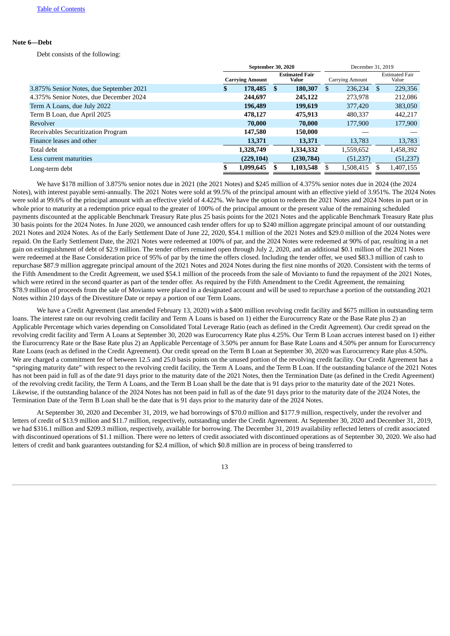## **Note 6—Debt**

Debt consists of the following:

|                                         | September 30, 2020 |                        |    |                                |     |                 | December 31, 2019 |                                |  |
|-----------------------------------------|--------------------|------------------------|----|--------------------------------|-----|-----------------|-------------------|--------------------------------|--|
|                                         |                    | <b>Carrying Amount</b> |    | <b>Estimated Fair</b><br>Value |     | Carrying Amount |                   | <b>Estimated Fair</b><br>Value |  |
| 3.875% Senior Notes, due September 2021 | S                  | 178,485                | S. | 180,307                        | \$. | 236.234         | S                 | 229,356                        |  |
| 4.375% Senior Notes, due December 2024  |                    | 244,697                |    | 245,122                        |     | 273,978         |                   | 212,086                        |  |
| Term A Loans, due July 2022             |                    | 196,489                |    | 199.619                        |     | 377,420         |                   | 383,050                        |  |
| Term B Loan, due April 2025             |                    | 478,127                |    | 475,913                        |     | 480.337         |                   | 442,217                        |  |
| Revolver                                |                    | 70,000                 |    | 70,000                         |     | 177,900         |                   | 177,900                        |  |
| Receivables Securitization Program      |                    | 147,580                |    | 150,000                        |     |                 |                   |                                |  |
| Finance leases and other                |                    | 13,371                 |    | 13,371                         |     | 13,783          |                   | 13,783                         |  |
| Total debt                              |                    | 1,328,749              |    | 1,334,332                      |     | 1,559,652       |                   | 1,458,392                      |  |
| Less current maturities                 |                    | (229, 104)             |    | (230, 784)                     |     | (51, 237)       |                   | (51,237)                       |  |
| Long-term debt                          |                    | 1,099,645              |    | 1,103,548                      |     | 1,508,415       |                   | 1,407,155                      |  |

We have \$178 million of 3.875% senior notes due in 2021 (the 2021 Notes) and \$245 million of 4.375% senior notes due in 2024 (the 2024 Notes), with interest payable semi-annually. The 2021 Notes were sold at 99.5% of the principal amount with an effective yield of 3.951%. The 2024 Notes were sold at 99.6% of the principal amount with an effective yield of 4.422%. We have the option to redeem the 2021 Notes and 2024 Notes in part or in whole prior to maturity at a redemption price equal to the greater of 100% of the principal amount or the present value of the remaining scheduled payments discounted at the applicable Benchmark Treasury Rate plus 25 basis points for the 2021 Notes and the applicable Benchmark Treasury Rate plus 30 basis points for the 2024 Notes. In June 2020, we announced cash tender offers for up to \$240 million aggregate principal amount of our outstanding 2021 Notes and 2024 Notes. As of the Early Settlement Date of June 22, 2020, \$54.1 million of the 2021 Notes and \$29.0 million of the 2024 Notes were repaid. On the Early Settlement Date, the 2021 Notes were redeemed at 100% of par, and the 2024 Notes were redeemed at 90% of par, resulting in a net gain on extinguishment of debt of \$2.9 million. The tender offers remained open through July 2, 2020, and an additional \$0.1 million of the 2021 Notes were redeemed at the Base Consideration price of 95% of par by the time the offers closed. Including the tender offer, we used \$83.3 million of cash to repurchase \$87.9 million aggregate principal amount of the 2021 Notes and 2024 Notes during the first nine months of 2020. Consistent with the terms of the Fifth Amendment to the Credit Agreement, we used \$54.1 million of the proceeds from the sale of Movianto to fund the repayment of the 2021 Notes, which were retired in the second quarter as part of the tender offer. As required by the Fifth Amendment to the Credit Agreement, the remaining \$78.9 million of proceeds from the sale of Movianto were placed in a designated account and will be used to repurchase a portion of the outstanding 2021 Notes within 210 days of the Divestiture Date or repay a portion of our Term Loans.

We have a Credit Agreement (last amended February 13, 2020) with a \$400 million revolving credit facility and \$675 million in outstanding term loans. The interest rate on our revolving credit facility and Term A Loans is based on 1) either the Eurocurrency Rate or the Base Rate plus 2) an Applicable Percentage which varies depending on Consolidated Total Leverage Ratio (each as defined in the Credit Agreement). Our credit spread on the revolving credit facility and Term A Loans at September 30, 2020 was Eurocurrency Rate plus 4.25%. Our Term B Loan accrues interest based on 1) either the Eurocurrency Rate or the Base Rate plus 2) an Applicable Percentage of 3.50% per annum for Base Rate Loans and 4.50% per annum for Eurocurrency Rate Loans (each as defined in the Credit Agreement). Our credit spread on the Term B Loan at September 30, 2020 was Eurocurrency Rate plus 4.50%. We are charged a commitment fee of between 12.5 and 25.0 basis points on the unused portion of the revolving credit facility. Our Credit Agreement has a "springing maturity date" with respect to the revolving credit facility, the Term A Loans, and the Term B Loan. If the outstanding balance of the 2021 Notes has not been paid in full as of the date 91 days prior to the maturity date of the 2021 Notes, then the Termination Date (as defined in the Credit Agreement) of the revolving credit facility, the Term A Loans, and the Term B Loan shall be the date that is 91 days prior to the maturity date of the 2021 Notes. Likewise, if the outstanding balance of the 2024 Notes has not been paid in full as of the date 91 days prior to the maturity date of the 2024 Notes, the Termination Date of the Term B Loan shall be the date that is 91 days prior to the maturity date of the 2024 Notes.

At September 30, 2020 and December 31, 2019, we had borrowings of \$70.0 million and \$177.9 million, respectively, under the revolver and letters of credit of \$13.9 million and \$11.7 million, respectively, outstanding under the Credit Agreement. At September 30, 2020 and December 31, 2019, we had \$316.1 million and \$209.3 million, respectively, available for borrowing. The December 31, 2019 availability reflected letters of credit associated with discontinued operations of \$1.1 million. There were no letters of credit associated with discontinued operations as of September 30, 2020. We also had letters of credit and bank guarantees outstanding for \$2.4 million, of which \$0.8 million are in process of being transferred to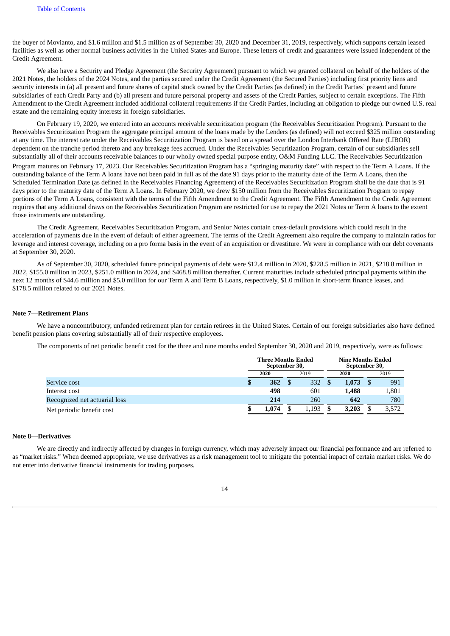the buyer of Movianto, and \$1.6 million and \$1.5 million as of September 30, 2020 and December 31, 2019, respectively, which supports certain leased facilities as well as other normal business activities in the United States and Europe. These letters of credit and guarantees were issued independent of the Credit Agreement.

We also have a Security and Pledge Agreement (the Security Agreement) pursuant to which we granted collateral on behalf of the holders of the 2021 Notes, the holders of the 2024 Notes, and the parties secured under the Credit Agreement (the Secured Parties) including first priority liens and security interests in (a) all present and future shares of capital stock owned by the Credit Parties (as defined) in the Credit Parties' present and future subsidiaries of each Credit Party and (b) all present and future personal property and assets of the Credit Parties, subject to certain exceptions. The Fifth Amendment to the Credit Agreement included additional collateral requirements if the Credit Parties, including an obligation to pledge our owned U.S. real estate and the remaining equity interests in foreign subsidiaries.

On February 19, 2020, we entered into an accounts receivable securitization program (the Receivables Securitization Program). Pursuant to the Receivables Securitization Program the aggregate principal amount of the loans made by the Lenders (as defined) will not exceed \$325 million outstanding at any time. The interest rate under the Receivables Securitization Program is based on a spread over the London Interbank Offered Rate (LIBOR) dependent on the tranche period thereto and any breakage fees accrued. Under the Receivables Securitization Program, certain of our subsidiaries sell substantially all of their accounts receivable balances to our wholly owned special purpose entity, O&M Funding LLC. The Receivables Securitization Program matures on February 17, 2023. Our Receivables Securitization Program has a "springing maturity date" with respect to the Term A Loans. If the outstanding balance of the Term A loans have not been paid in full as of the date 91 days prior to the maturity date of the Term A Loans, then the Scheduled Termination Date (as defined in the Receivables Financing Agreement) of the Receivables Securitization Program shall be the date that is 91 days prior to the maturity date of the Term A Loans. In February 2020, we drew \$150 million from the Receivables Securitization Program to repay portions of the Term A Loans, consistent with the terms of the Fifth Amendment to the Credit Agreement. The Fifth Amendment to the Credit Agreement requires that any additional draws on the Receivables Securitization Program are restricted for use to repay the 2021 Notes or Term A loans to the extent those instruments are outstanding.

The Credit Agreement, Receivables Securitization Program, and Senior Notes contain cross-default provisions which could result in the acceleration of payments due in the event of default of either agreement. The terms of the Credit Agreement also require the company to maintain ratios for leverage and interest coverage, including on a pro forma basis in the event of an acquisition or divestiture. We were in compliance with our debt covenants at September 30, 2020.

As of September 30, 2020, scheduled future principal payments of debt were \$12.4 million in 2020, \$228.5 million in 2021, \$218.8 million in 2022, \$155.0 million in 2023, \$251.0 million in 2024, and \$468.8 million thereafter. Current maturities include scheduled principal payments within the next 12 months of \$44.6 million and \$5.0 million for our Term A and Term B Loans, respectively, \$1.0 million in short-term finance leases, and \$178.5 million related to our 2021 Notes.

### **Note 7—Retirement Plans**

We have a noncontributory, unfunded retirement plan for certain retirees in the United States. Certain of our foreign subsidiaries also have defined benefit pension plans covering substantially all of their respective employees.

The components of net periodic benefit cost for the three and nine months ended September 30, 2020 and 2019, respectively, were as follows:

|                               |              | <b>Three Months Ended</b><br>September 30, |  |       | <b>Nine Months Ended</b><br>September 30, |       |  |       |  |
|-------------------------------|--------------|--------------------------------------------|--|-------|-------------------------------------------|-------|--|-------|--|
|                               | 2020<br>2019 |                                            |  |       | 2020                                      | 2019  |  |       |  |
| Service cost                  | Φ            | 362                                        |  | 332   |                                           | 1.073 |  | 991   |  |
| Interest cost                 |              | 498                                        |  | 601   |                                           | 1,488 |  | 1,801 |  |
| Recognized net actuarial loss |              | 214                                        |  | 260   |                                           | 642   |  | 780   |  |
| Net periodic benefit cost     |              | 1.074                                      |  | 1,193 |                                           | 3,203 |  | 3,572 |  |

### **Note 8—Derivatives**

We are directly and indirectly affected by changes in foreign currency, which may adversely impact our financial performance and are referred to as "market risks." When deemed appropriate, we use derivatives as a risk management tool to mitigate the potential impact of certain market risks. We do not enter into derivative financial instruments for trading purposes.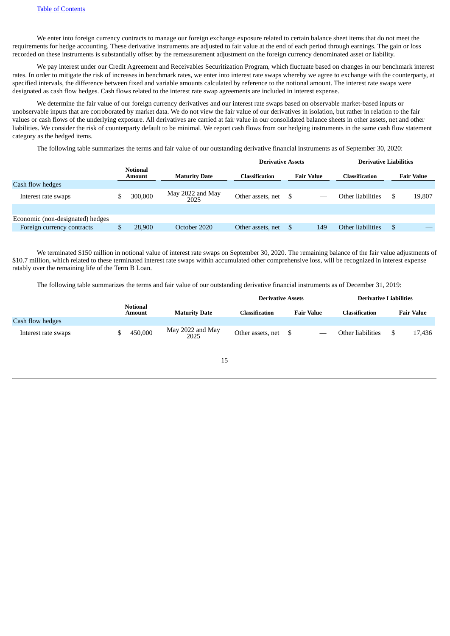We enter into foreign currency contracts to manage our foreign exchange exposure related to certain balance sheet items that do not meet the requirements for hedge accounting. These derivative instruments are adjusted to fair value at the end of each period through earnings. The gain or loss recorded on these instruments is substantially offset by the remeasurement adjustment on the foreign currency denominated asset or liability.

We pay interest under our Credit Agreement and Receivables Securitization Program, which fluctuate based on changes in our benchmark interest rates. In order to mitigate the risk of increases in benchmark rates, we enter into interest rate swaps whereby we agree to exchange with the counterparty, at specified intervals, the difference between fixed and variable amounts calculated by reference to the notional amount. The interest rate swaps were designated as cash flow hedges. Cash flows related to the interest rate swap agreements are included in interest expense.

We determine the fair value of our foreign currency derivatives and our interest rate swaps based on observable market-based inputs or unobservable inputs that are corroborated by market data. We do not view the fair value of our derivatives in isolation, but rather in relation to the fair values or cash flows of the underlying exposure. All derivatives are carried at fair value in our consolidated balance sheets in other assets, net and other liabilities. We consider the risk of counterparty default to be minimal. We report cash flows from our hedging instruments in the same cash flow statement category as the hedged items.

The following table summarizes the terms and fair value of our outstanding derivative financial instruments as of September 30, 2020:

| <b>Notional</b><br>Amount |         |                          |                   | <b>Maturity Date</b> | <b>Classification</b>                         |     | Classification                |  | <b>Fair Value</b> |
|---------------------------|---------|--------------------------|-------------------|----------------------|-----------------------------------------------|-----|-------------------------------|--|-------------------|
|                           |         |                          |                   |                      |                                               |     |                               |  |                   |
|                           | 300,000 | May 2022 and May<br>2025 | Other assets, net |                      | Other liabilities                             |     | 19,807                        |  |                   |
|                           |         |                          |                   |                      |                                               |     |                               |  |                   |
|                           |         |                          |                   |                      |                                               |     |                               |  |                   |
|                           | 28,900  | October 2020             | Other assets, net | 149                  | Other liabilities                             | -\$ |                               |  |                   |
|                           |         |                          |                   |                      | <b>Derivative Assets</b><br><b>Fair Value</b> |     | <b>Derivative Liabilities</b> |  |                   |

We terminated \$150 million in notional value of interest rate swaps on September 30, 2020. The remaining balance of the fair value adjustments of \$10.7 million, which related to these terminated interest rate swaps within accumulated other comprehensive loss, will be recognized in interest expense ratably over the remaining life of the Term B Loan.

The following table summarizes the terms and fair value of our outstanding derivative financial instruments as of December 31, 2019:

|                     |                           |                          | <b>Derivative Assets</b> |                   | <b>Derivative Liabilities</b> |                   |  |  |
|---------------------|---------------------------|--------------------------|--------------------------|-------------------|-------------------------------|-------------------|--|--|
|                     | <b>Notional</b><br>Amount | <b>Maturity Date</b>     | <b>Classification</b>    | <b>Fair Value</b> | Classification                | <b>Fair Value</b> |  |  |
| Cash flow hedges    |                           |                          |                          |                   |                               |                   |  |  |
| Interest rate swaps | 450,000                   | May 2022 and May<br>2025 | Other assets, net        |                   | Other liabilities             | 17.436            |  |  |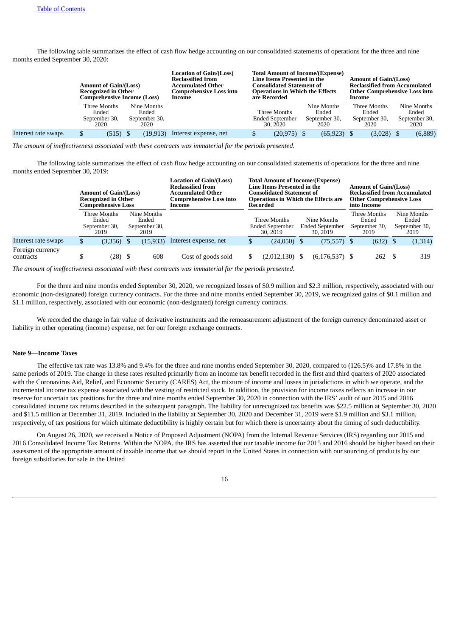The following table summarizes the effect of cash flow hedge accounting on our consolidated statements of operations for the three and nine months ended September 30, 2020:

|                     | <b>Amount of Gain/(Loss)</b><br><b>Recognized in Other</b><br>Comprehensive Income (Loss) |                                               | <b>Location of Gain/(Loss)</b><br><b>Reclassified from</b><br><b>Accumulated Other</b><br>Comprehensive Loss into<br>Income |   | Line Items Presented in the<br>Consolidated Statement of<br>are Recorded | <b>Total Amount of Income/(Expense)</b><br><b>Operations in Which the Effects</b> | <b>Amount of Gain/(Loss)</b><br><b>Reclassified from Accumulated</b><br><b>Other Comprehensive Loss into</b><br>Income |  |                                               |  |  |  |
|---------------------|-------------------------------------------------------------------------------------------|-----------------------------------------------|-----------------------------------------------------------------------------------------------------------------------------|---|--------------------------------------------------------------------------|-----------------------------------------------------------------------------------|------------------------------------------------------------------------------------------------------------------------|--|-----------------------------------------------|--|--|--|
|                     | Three Months<br>Ended<br>September 30,<br>2020                                            | Nine Months<br>Ended<br>September 30,<br>2020 |                                                                                                                             |   | Three Months<br><b>Ended September</b><br>30, 2020                       | Nine Months<br>Ended<br>September 30,<br>2020                                     | Three Months<br>Ended<br>September 30,<br>2020                                                                         |  | Nine Months<br>Ended<br>September 30,<br>2020 |  |  |  |
| Interest rate swaps | $(515)$ \$<br>S                                                                           | (19, 913)                                     | Interest expense, net                                                                                                       | Φ | (20, 975)                                                                | $(65, 923)$ \$                                                                    | $(3,028)$ \$                                                                                                           |  | (6,889)                                       |  |  |  |

*The amount of ineffectiveness associated with these contracts was immaterial for the periods presented.*

The following table summarizes the effect of cash flow hedge accounting on our consolidated statements of operations for the three and nine months ended September 30, 2019:

|                               | <b>Amount of Gain/(Loss)</b><br><b>Recognized in Other</b><br>Comprehensive Loss |                                                |  |                                               | Location of Gain/(Loss)<br><b>Reclassified from</b><br>Accumulated Other<br>Comprehensive Loss into<br>Income | <b>Total Amount of Income/(Expense)</b><br><b>Line Items Presented in the</b><br>Consolidated Statement of<br><b>Operations in Which the Effects are</b><br>Recorded |  |                                                   |  | <b>Amount of Gain/(Loss)</b><br>into Income    | <b>Reclassified from Accumulated</b><br><b>Other Comprehensive Loss</b> |                                               |  |
|-------------------------------|----------------------------------------------------------------------------------|------------------------------------------------|--|-----------------------------------------------|---------------------------------------------------------------------------------------------------------------|----------------------------------------------------------------------------------------------------------------------------------------------------------------------|--|---------------------------------------------------|--|------------------------------------------------|-------------------------------------------------------------------------|-----------------------------------------------|--|
|                               |                                                                                  | Three Months<br>Ended<br>September 30,<br>2019 |  | Nine Months<br>Ended<br>September 30,<br>2019 |                                                                                                               | Three Months<br><b>Ended September</b><br>30, 2019                                                                                                                   |  | Nine Months<br><b>Ended September</b><br>30, 2019 |  | Three Months<br>Ended<br>September 30,<br>2019 |                                                                         | Nine Months<br>Ended<br>September 30,<br>2019 |  |
| Interest rate swaps           | \$                                                                               | $(3,356)$ \$                                   |  | (15, 933)                                     | Interest expense, net                                                                                         | \$<br>$(24,050)$ \$                                                                                                                                                  |  | $(75,557)$ \$                                     |  | $(632)$ \$                                     |                                                                         | (1, 314)                                      |  |
| Foreign currency<br>contracts | \$                                                                               | $(28)$ \$                                      |  | 608                                           | Cost of goods sold                                                                                            | (2,012,130)                                                                                                                                                          |  | $(6, 176, 537)$ \$                                |  | 262S                                           |                                                                         | 319                                           |  |

*The amount of ineffectiveness associated with these contracts was immaterial for the periods presented.*

For the three and nine months ended September 30, 2020, we recognized losses of \$0.9 million and \$2.3 million, respectively, associated with our economic (non-designated) foreign currency contracts. For the three and nine months ended September 30, 2019, we recognized gains of \$0.1 million and \$1.1 million, respectively, associated with our economic (non-designated) foreign currency contracts.

We recorded the change in fair value of derivative instruments and the remeasurement adjustment of the foreign currency denominated asset or liability in other operating (income) expense, net for our foreign exchange contracts.

## **Note 9—Income Taxes**

The effective tax rate was 13.8% and 9.4% for the three and nine months ended September 30, 2020, compared to (126.5)% and 17.8% in the same periods of 2019. The change in these rates resulted primarily from an income tax benefit recorded in the first and third quarters of 2020 associated with the Coronavirus Aid, Relief, and Economic Security (CARES) Act, the mixture of income and losses in jurisdictions in which we operate, and the incremental income tax expense associated with the vesting of restricted stock. In addition, the provision for income taxes reflects an increase in our reserve for uncertain tax positions for the three and nine months ended September 30, 2020 in connection with the IRS' audit of our 2015 and 2016 consolidated income tax returns described in the subsequent paragraph. The liability for unrecognized tax benefits was \$22.5 million at September 30, 2020 and \$11.5 million at December 31, 2019. Included in the liability at September 30, 2020 and December 31, 2019 were \$1.9 million and \$3.1 million, respectively, of tax positions for which ultimate deductibility is highly certain but for which there is uncertainty about the timing of such deductibility.

On August 26, 2020, we received a Notice of Proposed Adjustment (NOPA) from the Internal Revenue Services (IRS) regarding our 2015 and 2016 Consolidated Income Tax Returns. Within the NOPA, the IRS has asserted that our taxable income for 2015 and 2016 should be higher based on their assessment of the appropriate amount of taxable income that we should report in the United States in connection with our sourcing of products by our foreign subsidiaries for sale in the United

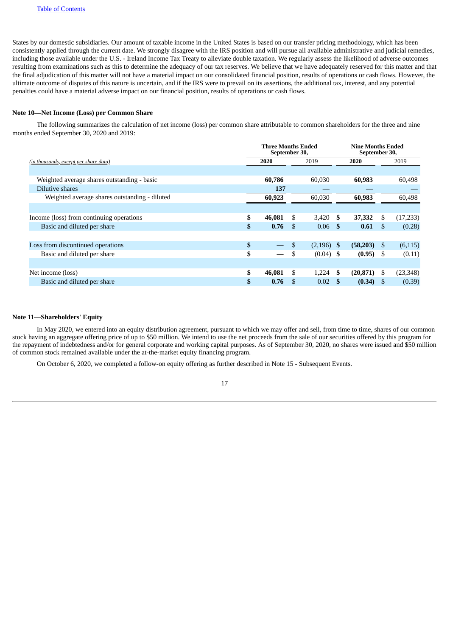States by our domestic subsidiaries. Our amount of taxable income in the United States is based on our transfer pricing methodology, which has been consistently applied through the current date. We strongly disagree with the IRS position and will pursue all available administrative and judicial remedies, including those available under the U.S. - Ireland Income Tax Treaty to alleviate double taxation. We regularly assess the likelihood of adverse outcomes resulting from examinations such as this to determine the adequacy of our tax reserves. We believe that we have adequately reserved for this matter and that the final adjudication of this matter will not have a material impact on our consolidated financial position, results of operations or cash flows. However, the ultimate outcome of disputes of this nature is uncertain, and if the IRS were to prevail on its assertions, the additional tax, interest, and any potential penalties could have a material adverse impact on our financial position, results of operations or cash flows.

### **Note 10—Net Income (Loss) per Common Share**

The following summarizes the calculation of net income (loss) per common share attributable to common shareholders for the three and nine months ended September 30, 2020 and 2019:

|                                               |      |        | <b>Nine Months Ended</b><br>September 30, |                   |    |               |      |           |
|-----------------------------------------------|------|--------|-------------------------------------------|-------------------|----|---------------|------|-----------|
| (in thousands, except per share data)         | 2020 |        |                                           | 2019              |    | 2020          |      | 2019      |
|                                               |      |        |                                           |                   |    |               |      |           |
| Weighted average shares outstanding - basic   |      | 60,786 |                                           | 60.030            |    | 60,983        |      | 60,498    |
| Dilutive shares                               |      | 137    |                                           |                   |    |               |      |           |
| Weighted average shares outstanding - diluted |      | 60,923 |                                           | 60.030            |    | 60,983        |      | 60,498    |
|                                               |      |        |                                           |                   |    |               |      |           |
| Income (loss) from continuing operations      | \$   | 46,081 | \$.                                       | 3,420             | S  | 37,332        | S    | (17, 233) |
| Basic and diluted per share                   | \$   | 0.76   | - \$                                      | 0.06 <sup>5</sup> |    | 0.61          | -S   | (0.28)    |
|                                               |      |        |                                           |                   |    |               |      |           |
| Loss from discontinued operations             | \$   |        | \$                                        | $(2,196)$ \$      |    | $(58,203)$ \$ |      | (6, 115)  |
| Basic and diluted per share                   | \$   |        | \$                                        | $(0.04)$ \$       |    | $(0.95)$ \$   |      | (0.11)    |
|                                               |      |        |                                           |                   |    |               |      |           |
| Net income (loss)                             | \$   | 46,081 | \$.                                       | 1,224             | -S | (20, 871)     | - \$ | (23, 348) |
| Basic and diluted per share                   | \$   | 0.76   | \$.                                       | 0.02              |    | (0.34)        | -S   | (0.39)    |

## **Note 11—Shareholders' Equity**

In May 2020, we entered into an equity distribution agreement, pursuant to which we may offer and sell, from time to time, shares of our common stock having an aggregate offering price of up to \$50 million. We intend to use the net proceeds from the sale of our securities offered by this program for the repayment of indebtedness and/or for general corporate and working capital purposes. As of September 30, 2020, no shares were issued and \$50 million of common stock remained available under the at-the-market equity financing program.

On October 6, 2020, we completed a follow-on equity offering as further described in Note 15 - Subsequent Events.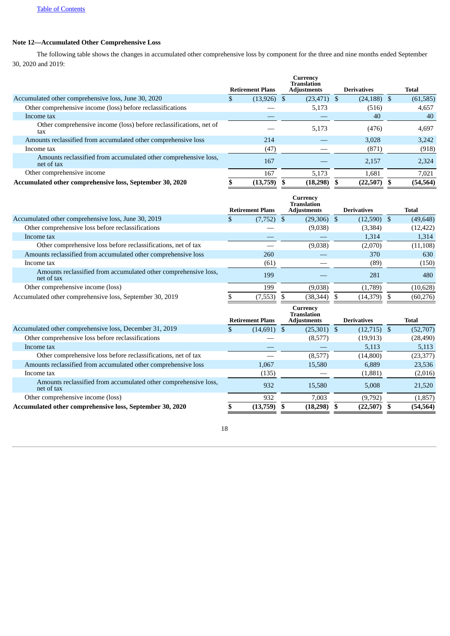# **Note 12—Accumulated Other Comprehensive Loss**

The following table shows the changes in accumulated other comprehensive loss by component for the three and nine months ended September 30, 2020 and 2019:

|                                                                               |   |                         | Currency<br><b>Translation</b> |                    |              |
|-------------------------------------------------------------------------------|---|-------------------------|--------------------------------|--------------------|--------------|
|                                                                               |   | <b>Retirement Plans</b> | <b>Adjustments</b>             | <b>Derivatives</b> | <b>Total</b> |
| Accumulated other comprehensive loss, June 30, 2020                           | D | $(13,926)$ \$           | $(23, 471)$ \$                 | $(24, 188)$ \$     | (61, 585)    |
| Other comprehensive income (loss) before reclassifications                    |   |                         | 5,173                          | (516)              | 4,657        |
| Income tax                                                                    |   |                         |                                | 40                 | 40           |
| Other comprehensive income (loss) before reclassifications, net of<br>fax     |   |                         | 5.173                          | (476)              | 4,697        |
| Amounts reclassified from accumulated other comprehensive loss                |   | 214                     |                                | 3.028              | 3,242        |
| Income tax                                                                    |   | (47)                    |                                | (871)              | (918)        |
| Amounts reclassified from accumulated other comprehensive loss,<br>net of tax |   | 167                     |                                | 2,157              | 2,324        |
| Other comprehensive income                                                    |   | 167                     | 5.173                          | 1,681              | 7,021        |
| Accumulated other comprehensive loss, September 30, 2020                      |   | $(13,759)$ \$           | (18, 298)                      | $(22,507)$ \$      | (54, 564)    |

|                                                                               |   | <b>Retirement Plans</b> | Currency<br><b>Translation</b><br><b>Adjustments</b> | <b>Derivatives</b> | Total     |
|-------------------------------------------------------------------------------|---|-------------------------|------------------------------------------------------|--------------------|-----------|
| Accumulated other comprehensive loss, June 30, 2019                           | D | $(7,752)$ \$            | $(29,306)$ \$                                        | $(12,590)$ \$      | (49, 648) |
| Other comprehensive loss before reclassifications                             |   |                         | (9,038)                                              | (3,384)            | (12, 422) |
| Income tax                                                                    |   |                         |                                                      | 1,314              | 1,314     |
| Other comprehensive loss before reclassifications, net of tax                 |   |                         | (9,038)                                              | (2,070)            | (11, 108) |
| Amounts reclassified from accumulated other comprehensive loss                |   | 260                     |                                                      | 370                | 630       |
| Income tax                                                                    |   | (61)                    |                                                      | (89)               | (150)     |
| Amounts reclassified from accumulated other comprehensive loss,<br>net of tax |   | 199                     |                                                      | 281                | 480       |
| Other comprehensive income (loss)                                             |   | 199                     | (9,038)                                              | (1,789)            | (10, 628) |
| Accumulated other comprehensive loss, September 30, 2019                      |   | (7, 553)                | (38, 344)                                            | (14, 379)          | (60, 276) |

|                                                                               |   |                         | <b>Currency</b><br><b>Translation</b> |                    |              |
|-------------------------------------------------------------------------------|---|-------------------------|---------------------------------------|--------------------|--------------|
|                                                                               |   | <b>Retirement Plans</b> | <b>Adjustments</b>                    | <b>Derivatives</b> | <b>Total</b> |
| Accumulated other comprehensive loss, December 31, 2019                       | Ъ | $(14,691)$ \$           | $(25,301)$ \$                         | $(12,715)$ \$      | (52,707)     |
| Other comprehensive loss before reclassifications                             |   |                         | (8,577)                               | (19, 913)          | (28, 490)    |
| Income tax                                                                    |   |                         |                                       | 5,113              | 5,113        |
| Other comprehensive loss before reclassifications, net of tax                 |   |                         | (8,577)                               | (14, 800)          | (23, 377)    |
| Amounts reclassified from accumulated other comprehensive loss                |   | 1,067                   | 15,580                                | 6,889              | 23,536       |
| Income tax                                                                    |   | (135)                   |                                       | (1,881)            | (2,016)      |
| Amounts reclassified from accumulated other comprehensive loss,<br>net of tax |   | 932                     | 15,580                                | 5.008              | 21,520       |
| Other comprehensive income (loss)                                             |   | 932                     | 7.003                                 | (9,792)            | (1, 857)     |
| Accumulated other comprehensive loss, September 30, 2020                      |   | $(13,759)$ \$           | (18, 298)                             | $(22,507)$ \$      | (54, 564)    |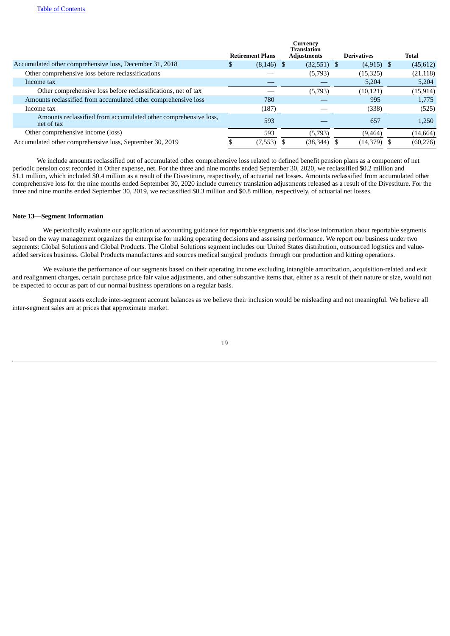|                                                                               |   |                         | Currency<br><b>Translation</b> |                    |           |
|-------------------------------------------------------------------------------|---|-------------------------|--------------------------------|--------------------|-----------|
|                                                                               |   | <b>Retirement Plans</b> | <b>Adjustments</b>             | <b>Derivatives</b> | Total     |
| Accumulated other comprehensive loss, December 31, 2018                       | D | $(8, 146)$ \$           | $(32,551)$ \$                  | $(4,915)$ \$       | (45, 612) |
| Other comprehensive loss before reclassifications                             |   |                         | (5,793)                        | (15,325)           | (21, 118) |
| Income tax                                                                    |   |                         |                                | 5,204              | 5,204     |
| Other comprehensive loss before reclassifications, net of tax                 |   |                         | (5,793)                        | (10, 121)          | (15, 914) |
| Amounts reclassified from accumulated other comprehensive loss                |   | 780                     |                                | 995                | 1,775     |
| Income tax                                                                    |   | (187)                   |                                | (338)              | (525)     |
| Amounts reclassified from accumulated other comprehensive loss,<br>net of tax |   | 593                     |                                | 657                | 1,250     |
| Other comprehensive income (loss)                                             |   | 593                     | (5,793)                        | (9, 464)           | (14, 664) |
| Accumulated other comprehensive loss, September 30, 2019                      |   | $(7,553)$ \$            | (38, 344)                      | $(14,379)$ \$      | (60, 276) |

We include amounts reclassified out of accumulated other comprehensive loss related to defined benefit pension plans as a component of net periodic pension cost recorded in Other expense, net. For the three and nine months ended September 30, 2020, we reclassified \$0.2 million and \$1.1 million, which included \$0.4 million as a result of the Divestiture, respectively, of actuarial net losses. Amounts reclassified from accumulated other comprehensive loss for the nine months ended September 30, 2020 include currency translation adjustments released as a result of the Divestiture. For the three and nine months ended September 30, 2019, we reclassified \$0.3 million and \$0.8 million, respectively, of actuarial net losses.

## **Note 13—Segment Information**

We periodically evaluate our application of accounting guidance for reportable segments and disclose information about reportable segments based on the way management organizes the enterprise for making operating decisions and assessing performance. We report our business under two segments: Global Solutions and Global Products. The Global Solutions segment includes our United States distribution, outsourced logistics and valueadded services business. Global Products manufactures and sources medical surgical products through our production and kitting operations.

We evaluate the performance of our segments based on their operating income excluding intangible amortization, acquisition-related and exit and realignment charges, certain purchase price fair value adjustments, and other substantive items that, either as a result of their nature or size, would not be expected to occur as part of our normal business operations on a regular basis.

Segment assets exclude inter-segment account balances as we believe their inclusion would be misleading and not meaningful. We believe all inter-segment sales are at prices that approximate market.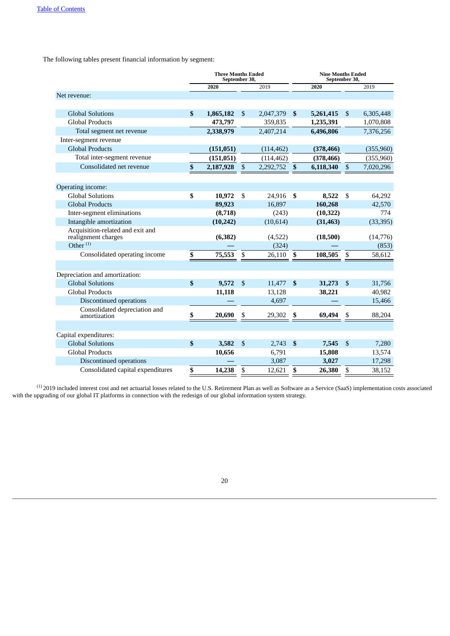The following tables present financial information by segment:

|                                   | <b>Three Months Ended</b><br>September 30, |              |            |                           |            | <b>Nine Months Ended</b><br>September 30, |            |  |
|-----------------------------------|--------------------------------------------|--------------|------------|---------------------------|------------|-------------------------------------------|------------|--|
|                                   | 2020                                       |              | 2019       |                           | 2020       |                                           | 2019       |  |
| Net revenue:                      |                                            |              |            |                           |            |                                           |            |  |
|                                   |                                            |              |            |                           |            |                                           |            |  |
| <b>Global Solutions</b>           | \$<br>1,865,182                            | \$           | 2,047,379  | \$                        | 5,261,415  | \$                                        | 6,305,448  |  |
| <b>Global Products</b>            | 473,797                                    |              | 359,835    |                           | 1,235,391  |                                           | 1,070,808  |  |
| Total segment net revenue         | 2,338,979                                  |              | 2,407,214  |                           | 6,496,806  |                                           | 7,376,256  |  |
| Inter-segment revenue             |                                            |              |            |                           |            |                                           |            |  |
| <b>Global Products</b>            | (151, 051)                                 |              | (114, 462) |                           | (378, 466) |                                           | (355, 960) |  |
| Total inter-segment revenue       | (151, 051)                                 |              | (114, 462) |                           | (378, 466) |                                           | (355, 960) |  |
| Consolidated net revenue          | \$<br>2,187,928                            | $\mathbb{S}$ | 2,292,752  | $\boldsymbol{\mathsf{s}}$ | 6,118,340  | $\mathbb{S}$                              | 7,020,296  |  |
|                                   |                                            |              |            |                           |            |                                           |            |  |
| Operating income:                 |                                            |              |            |                           |            |                                           |            |  |
| <b>Global Solutions</b>           | \$<br>10,972                               | \$           | 24,916     | \$                        | 8,522      | \$                                        | 64,292     |  |
| <b>Global Products</b>            | 89,923                                     |              | 16,897     |                           | 160,268    |                                           | 42,570     |  |
| Inter-segment eliminations        | (8,718)                                    |              | (243)      |                           | (10, 322)  |                                           | 774        |  |
| Intangible amortization           | (10, 242)                                  |              | (10, 614)  |                           | (31, 463)  |                                           | (33, 395)  |  |
| Acquisition-related and exit and  |                                            |              |            |                           |            |                                           |            |  |
| realignment charges               | (6, 382)                                   |              | (4,522)    |                           | (18,500)   |                                           | (14, 776)  |  |
| Other $(1)$                       |                                            |              | (324)      |                           |            |                                           | (853)      |  |
| Consolidated operating income     | \$<br>75,553                               | \$           | 26,110     | \$                        | 108,505    | \$                                        | 58,612     |  |
|                                   |                                            |              |            |                           |            |                                           |            |  |
| Depreciation and amortization:    |                                            |              |            |                           |            |                                           |            |  |
| <b>Global Solutions</b>           | \$<br>9,572                                | $\mathbb{S}$ | 11,477     | $\mathbf{s}$              | 31,273     | \$                                        | 31,756     |  |
| <b>Global Products</b>            | 11,118                                     |              | 13,128     |                           | 38,221     |                                           | 40,982     |  |
| Discontinued operations           |                                            |              | 4,697      |                           |            |                                           | 15,466     |  |
| Consolidated depreciation and     |                                            |              |            |                           |            |                                           |            |  |
| amortization                      | \$<br>20,690                               | \$           | 29,302     | \$                        | 69,494     | \$                                        | 88,204     |  |
|                                   |                                            |              |            |                           |            |                                           |            |  |
| Capital expenditures:             |                                            |              |            |                           |            |                                           |            |  |
| <b>Global Solutions</b>           | \$<br>3,582                                | $\mathbb{S}$ | 2,743      | $\mathbf{s}$              | 7,545      | \$                                        | 7,280      |  |
| <b>Global Products</b>            | 10,656                                     |              | 6,791      |                           | 15,808     |                                           | 13,574     |  |
| <b>Discontinued operations</b>    |                                            |              | 3,087      |                           | 3,027      |                                           | 17,298     |  |
| Consolidated capital expenditures | \$<br>14,238                               | \$           | 12,621     | \$                        | 26,380     | \$                                        | 38,152     |  |

2019 included interest cost and net actuarial losses related to the U.S. Retirement Plan as well as Software as a Service (SaaS) implementation costs associated with the upgrading of our global IT platforms in connection with the redesign of our global information system strategy. (1)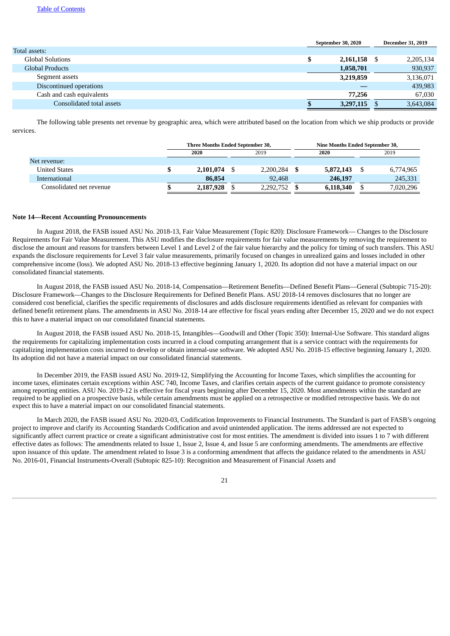|                           | September 30, 2020 |           |  | <b>December 31, 2019</b> |
|---------------------------|--------------------|-----------|--|--------------------------|
| Total assets:             |                    |           |  |                          |
| <b>Global Solutions</b>   | \$                 | 2,161,158 |  | 2,205,134                |
| <b>Global Products</b>    |                    | 1,058,701 |  | 930,937                  |
| Segment assets            |                    | 3,219,859 |  | 3,136,071                |
| Discontinued operations   |                    |           |  | 439,983                  |
| Cash and cash equivalents |                    | 77,256    |  | 67,030                   |
| Consolidated total assets |                    | 3,297,115 |  | 3,643,084                |

The following table presents net revenue by geographic area, which were attributed based on the location from which we ship products or provide services.

|                          | Three Months Ended September 30, |           |  |           |  |           | Nine Months Ended September 30, |           |  |
|--------------------------|----------------------------------|-----------|--|-----------|--|-----------|---------------------------------|-----------|--|
|                          |                                  | 2020      |  | 2019      |  | 2020      |                                 | 2019      |  |
| Net revenue:             |                                  |           |  |           |  |           |                                 |           |  |
| <b>United States</b>     |                                  | 2,101,074 |  | 2,200,284 |  | 5,872,143 | \$.                             | 6,774,965 |  |
| International            |                                  | 86,854    |  | 92,468    |  | 246,197   |                                 | 245,331   |  |
| Consolidated net revenue |                                  | 2,187,928 |  | 2,292,752 |  | 6,118,340 |                                 | 7,020,296 |  |

#### **Note 14—Recent Accounting Pronouncements**

In August 2018, the FASB issued ASU No. 2018-13, Fair Value Measurement (Topic 820): Disclosure Framework— Changes to the Disclosure Requirements for Fair Value Measurement. This ASU modifies the disclosure requirements for fair value measurements by removing the requirement to disclose the amount and reasons for transfers between Level 1 and Level 2 of the fair value hierarchy and the policy for timing of such transfers. This ASU expands the disclosure requirements for Level 3 fair value measurements, primarily focused on changes in unrealized gains and losses included in other comprehensive income (loss). We adopted ASU No. 2018-13 effective beginning January 1, 2020. Its adoption did not have a material impact on our consolidated financial statements.

In August 2018, the FASB issued ASU No. 2018-14, Compensation—Retirement Benefits—Defined Benefit Plans—General (Subtopic 715-20): Disclosure Framework—Changes to the Disclosure Requirements for Defined Benefit Plans. ASU 2018-14 removes disclosures that no longer are considered cost beneficial, clarifies the specific requirements of disclosures and adds disclosure requirements identified as relevant for companies with defined benefit retirement plans. The amendments in ASU No. 2018-14 are effective for fiscal years ending after December 15, 2020 and we do not expect this to have a material impact on our consolidated financial statements.

In August 2018, the FASB issued ASU No. 2018-15, Intangibles—Goodwill and Other (Topic 350): Internal-Use Software. This standard aligns the requirements for capitalizing implementation costs incurred in a cloud computing arrangement that is a service contract with the requirements for capitalizing implementation costs incurred to develop or obtain internal-use software. We adopted ASU No. 2018-15 effective beginning January 1, 2020. Its adoption did not have a material impact on our consolidated financial statements.

In December 2019, the FASB issued ASU No. 2019-12, Simplifying the Accounting for Income Taxes, which simplifies the accounting for income taxes, eliminates certain exceptions within ASC 740, Income Taxes, and clarifies certain aspects of the current guidance to promote consistency among reporting entities. ASU No. 2019-12 is effective for fiscal years beginning after December 15, 2020. Most amendments within the standard are required to be applied on a prospective basis, while certain amendments must be applied on a retrospective or modified retrospective basis. We do not expect this to have a material impact on our consolidated financial statements.

In March 2020, the FASB issued ASU No. 2020-03, Codification Improvements to Financial Instruments. The Standard is part of FASB's ongoing project to improve and clarify its Accounting Standards Codification and avoid unintended application. The items addressed are not expected to significantly affect current practice or create a significant administrative cost for most entities. The amendment is divided into issues 1 to 7 with different effective dates as follows: The amendments related to Issue 1, Issue 2, Issue 4, and Issue 5 are conforming amendments. The amendments are effective upon issuance of this update. The amendment related to Issue 3 is a conforming amendment that affects the guidance related to the amendments in ASU No. 2016-01, Financial Instruments-Overall (Subtopic 825-10): Recognition and Measurement of Financial Assets and

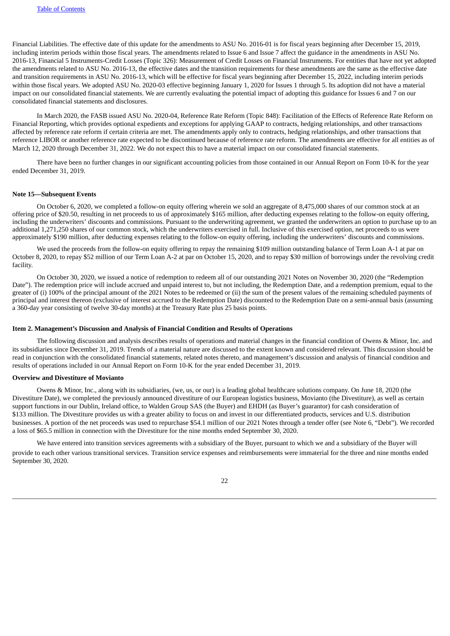Financial Liabilities. The effective date of this update for the amendments to ASU No. 2016-01 is for fiscal years beginning after December 15, 2019, including interim periods within those fiscal years. The amendments related to Issue 6 and Issue 7 affect the guidance in the amendments in ASU No. 2016-13, Financial 5 Instruments-Credit Losses (Topic 326): Measurement of Credit Losses on Financial Instruments. For entities that have not yet adopted the amendments related to ASU No. 2016-13, the effective dates and the transition requirements for these amendments are the same as the effective date and transition requirements in ASU No. 2016-13, which will be effective for fiscal years beginning after December 15, 2022, including interim periods within those fiscal years. We adopted ASU No. 2020-03 effective beginning January 1, 2020 for Issues 1 through 5. Its adoption did not have a material impact on our consolidated financial statements. We are currently evaluating the potential impact of adopting this guidance for Issues 6 and 7 on our consolidated financial statements and disclosures.

In March 2020, the FASB issued ASU No. 2020-04, Reference Rate Reform (Topic 848): Facilitation of the Effects of Reference Rate Reform on Financial Reporting, which provides optional expedients and exceptions for applying GAAP to contracts, hedging relationships, and other transactions affected by reference rate reform if certain criteria are met. The amendments apply only to contracts, hedging relationships, and other transactions that reference LIBOR or another reference rate expected to be discontinued because of reference rate reform. The amendments are effective for all entities as of March 12, 2020 through December 31, 2022. We do not expect this to have a material impact on our consolidated financial statements.

There have been no further changes in our significant accounting policies from those contained in our Annual Report on Form 10-K for the year ended December 31, 2019.

#### **Note 15—Subsequent Events**

On October 6, 2020, we completed a follow-on equity offering wherein we sold an aggregate of 8,475,000 shares of our common stock at an offering price of \$20.50, resulting in net proceeds to us of approximately \$165 million, after deducting expenses relating to the follow-on equity offering, including the underwriters' discounts and commissions. Pursuant to the underwriting agreement, we granted the underwriters an option to purchase up to an additional 1,271,250 shares of our common stock, which the underwriters exercised in full. Inclusive of this exercised option, net proceeds to us were approximately \$190 million, after deducting expenses relating to the follow-on equity offering, including the underwriters' discounts and commissions.

We used the proceeds from the follow-on equity offering to repay the remaining \$109 million outstanding balance of Term Loan A-1 at par on October 8, 2020, to repay \$52 million of our Term Loan A-2 at par on October 15, 2020, and to repay \$30 million of borrowings under the revolving credit facility.

On October 30, 2020, we issued a notice of redemption to redeem all of our outstanding 2021 Notes on November 30, 2020 (the "Redemption Date"). The redemption price will include accrued and unpaid interest to, but not including, the Redemption Date, and a redemption premium, equal to the greater of (i) 100% of the principal amount of the 2021 Notes to be redeemed or (ii) the sum of the present values of the remaining scheduled payments of principal and interest thereon (exclusive of interest accrued to the Redemption Date) discounted to the Redemption Date on a semi-annual basis (assuming a 360-day year consisting of twelve 30-day months) at the Treasury Rate plus 25 basis points.

#### <span id="page-21-0"></span>**Item 2. Management's Discussion and Analysis of Financial Condition and Results of Operations**

The following discussion and analysis describes results of operations and material changes in the financial condition of Owens & Minor, Inc. and its subsidiaries since December 31, 2019. Trends of a material nature are discussed to the extent known and considered relevant. This discussion should be read in conjunction with the consolidated financial statements, related notes thereto, and management's discussion and analysis of financial condition and results of operations included in our Annual Report on Form 10-K for the year ended December 31, 2019.

## **Overview and Divestiture of Movianto**

Owens & Minor, Inc., along with its subsidiaries, (we, us, or our) is a leading global healthcare solutions company. On June 18, 2020 (the Divestiture Date), we completed the previously announced divestiture of our European logistics business, Movianto (the Divestiture), as well as certain support functions in our Dublin, Ireland office, to Walden Group SAS (the Buyer) and EHDH (as Buyer's guarantor) for cash consideration of \$133 million. The Divestiture provides us with a greater ability to focus on and invest in our differentiated products, services and U.S. distribution businesses. A portion of the net proceeds was used to repurchase \$54.1 million of our 2021 Notes through a tender offer (see Note 6, "Debt"). We recorded a loss of \$65.5 million in connection with the Divestiture for the nine months ended September 30, 2020.

We have entered into transition services agreements with a subsidiary of the Buyer, pursuant to which we and a subsidiary of the Buyer will provide to each other various transitional services. Transition service expenses and reimbursements were immaterial for the three and nine months ended September 30, 2020.

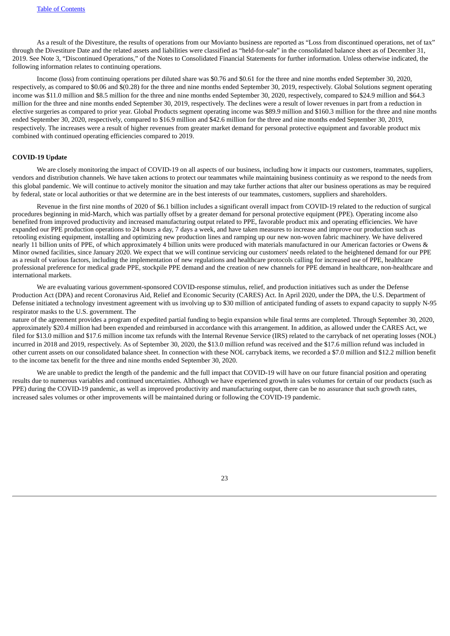As a result of the Divestiture, the results of operations from our Movianto business are reported as "Loss from discontinued operations, net of tax" through the Divestiture Date and the related assets and liabilities were classified as "held-for-sale" in the consolidated balance sheet as of December 31, 2019. See Note 3, "Discontinued Operations," of the Notes to Consolidated Financial Statements for further information. Unless otherwise indicated, the following information relates to continuing operations.

Income (loss) from continuing operations per diluted share was \$0.76 and \$0.61 for the three and nine months ended September 30, 2020, respectively, as compared to \$0.06 and \$(0.28) for the three and nine months ended September 30, 2019, respectively. Global Solutions segment operating income was \$11.0 million and \$8.5 million for the three and nine months ended September 30, 2020, respectively, compared to \$24.9 million and \$64.3 million for the three and nine months ended September 30, 2019, respectively. The declines were a result of lower revenues in part from a reduction in elective surgeries as compared to prior year. Global Products segment operating income was \$89.9 million and \$160.3 million for the three and nine months ended September 30, 2020, respectively, compared to \$16.9 million and \$42.6 million for the three and nine months ended September 30, 2019, respectively. The increases were a result of higher revenues from greater market demand for personal protective equipment and favorable product mix combined with continued operating efficiencies compared to 2019.

## **COVID-19 Update**

We are closely monitoring the impact of COVID-19 on all aspects of our business, including how it impacts our customers, teammates, suppliers, vendors and distribution channels. We have taken actions to protect our teammates while maintaining business continuity as we respond to the needs from this global pandemic. We will continue to actively monitor the situation and may take further actions that alter our business operations as may be required by federal, state or local authorities or that we determine are in the best interests of our teammates, customers, suppliers and shareholders.

Revenue in the first nine months of 2020 of \$6.1 billion includes a significant overall impact from COVID-19 related to the reduction of surgical procedures beginning in mid-March, which was partially offset by a greater demand for personal protective equipment (PPE). Operating income also benefited from improved productivity and increased manufacturing output related to PPE, favorable product mix and operating efficiencies. We have expanded our PPE production operations to 24 hours a day, 7 days a week, and have taken measures to increase and improve our production such as retooling existing equipment, installing and optimizing new production lines and ramping up our new non-woven fabric machinery. We have delivered nearly 11 billion units of PPE, of which approximately 4 billion units were produced with materials manufactured in our American factories or Owens & Minor owned facilities, since January 2020. We expect that we will continue servicing our customers' needs related to the heightened demand for our PPE as a result of various factors, including the implementation of new regulations and healthcare protocols calling for increased use of PPE, healthcare professional preference for medical grade PPE, stockpile PPE demand and the creation of new channels for PPE demand in healthcare, non-healthcare and international markets.

We are evaluating various government-sponsored COVID-response stimulus, relief, and production initiatives such as under the Defense Production Act (DPA) and recent Coronavirus Aid, Relief and Economic Security (CARES) Act. In April 2020, under the DPA, the U.S. Department of Defense initiated a technology investment agreement with us involving up to \$30 million of anticipated funding of assets to expand capacity to supply N-95 respirator masks to the U.S. government. The

nature of the agreement provides a program of expedited partial funding to begin expansion while final terms are completed. Through September 30, 2020, approximately \$20.4 million had been expended and reimbursed in accordance with this arrangement. In addition, as allowed under the CARES Act, we filed for \$13.0 million and \$17.6 million income tax refunds with the Internal Revenue Service (IRS) related to the carryback of net operating losses (NOL) incurred in 2018 and 2019, respectively. As of September 30, 2020, the \$13.0 million refund was received and the \$17.6 million refund was included in other current assets on our consolidated balance sheet. In connection with these NOL carryback items, we recorded a \$7.0 million and \$12.2 million benefit to the income tax benefit for the three and nine months ended September 30, 2020.

We are unable to predict the length of the pandemic and the full impact that COVID-19 will have on our future financial position and operating results due to numerous variables and continued uncertainties. Although we have experienced growth in sales volumes for certain of our products (such as PPE) during the COVID-19 pandemic, as well as improved productivity and manufacturing output, there can be no assurance that such growth rates, increased sales volumes or other improvements will be maintained during or following the COVID-19 pandemic.

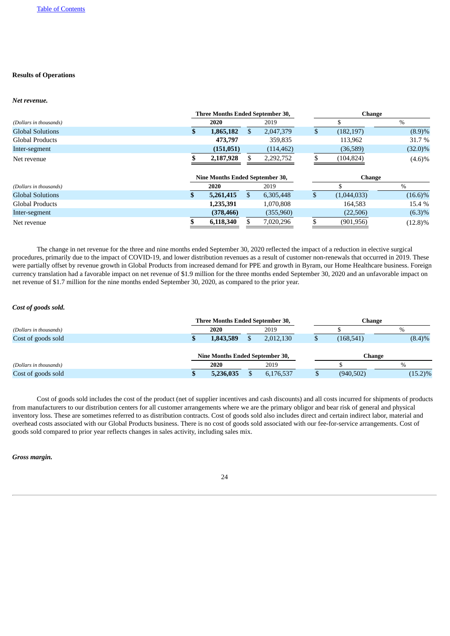# **Results of Operations**

## *Net revenue.*

|                         |    | Three Months Ended September 30, |                 | <b>Change</b>     |            |  |  |  |
|-------------------------|----|----------------------------------|-----------------|-------------------|------------|--|--|--|
| (Dollars in thousands)  |    | 2020                             | 2019            |                   | $\%$       |  |  |  |
| <b>Global Solutions</b> | \$ | 1,865,182                        | \$<br>2,047,379 | \$<br>(182, 197)  | (8.9)%     |  |  |  |
| Global Products         |    | 473,797                          | 359,835         | 113,962           | 31.7 %     |  |  |  |
| Inter-segment           |    | (151,051)                        | (114, 462)      | (36, 589)         | $(32.0)\%$ |  |  |  |
| Net revenue             |    | 2,187,928                        | 2,292,752       | (104, 824)        | $(4.6)\%$  |  |  |  |
|                         |    | Nine Months Ended September 30,  |                 | <b>Change</b>     |            |  |  |  |
| (Dollars in thousands)  |    | 2020                             | 2019            |                   | $\%$       |  |  |  |
| <b>Global Solutions</b> | S. | 5,261,415                        | \$<br>6,305,448 | \$<br>(1,044,033) | $(16.6)\%$ |  |  |  |
| <b>Global Products</b>  |    | 1,235,391                        | 1,070,808       | 164,583           | 15.4 %     |  |  |  |
| Inter-segment           |    | (378, 466)                       | (355,960)       | (22, 506)         | $(6.3)\%$  |  |  |  |
| Net revenue             |    | 6,118,340                        | 7,020,296       | (901, 956)        | $(12.8)\%$ |  |  |  |

The change in net revenue for the three and nine months ended September 30, 2020 reflected the impact of a reduction in elective surgical procedures, primarily due to the impact of COVID-19, and lower distribution revenues as a result of customer non-renewals that occurred in 2019. These were partially offset by revenue growth in Global Products from increased demand for PPE and growth in Byram, our Home Healthcare business. Foreign currency translation had a favorable impact on net revenue of \$1.9 million for the three months ended September 30, 2020 and an unfavorable impact on net revenue of \$1.7 million for the nine months ended September 30, 2020, as compared to the prior year.

### *Cost of goods sold.*

|                        | Three Months Ended September 30, |           | Change     |            |  |  |  |
|------------------------|----------------------------------|-----------|------------|------------|--|--|--|
| (Dollars in thousands) | 2020                             | 2019      |            | $\%$       |  |  |  |
| Cost of goods sold     | 1,843,589                        | 2,012,130 | (168, 541) | $(8.4)\%$  |  |  |  |
|                        | Nine Months Ended September 30,  |           |            | Change     |  |  |  |
| (Dollars in thousands) | 2020                             | 2019      |            | $\%$       |  |  |  |
| Cost of goods sold     | 5,236,035                        | 6,176,537 | (940, 502) | $(15.2)\%$ |  |  |  |

Cost of goods sold includes the cost of the product (net of supplier incentives and cash discounts) and all costs incurred for shipments of products from manufacturers to our distribution centers for all customer arrangements where we are the primary obligor and bear risk of general and physical inventory loss. These are sometimes referred to as distribution contracts. Cost of goods sold also includes direct and certain indirect labor, material and overhead costs associated with our Global Products business. There is no cost of goods sold associated with our fee-for-service arrangements. Cost of goods sold compared to prior year reflects changes in sales activity, including sales mix.

## *Gross margin.*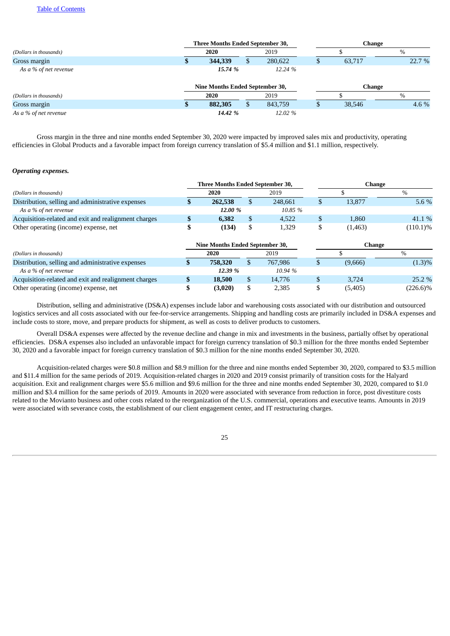## Table of [Contents](#page-0-0)

|                        |  | <b>Three Months Ended September 30,</b> |    | <b>Change</b> |   |               |        |  |  |
|------------------------|--|-----------------------------------------|----|---------------|---|---------------|--------|--|--|
| (Dollars in thousands) |  | 2020                                    |    | 2019          |   |               | $\%$   |  |  |
| Gross margin           |  | 344,339                                 | S  | 280,622       | Φ | 63,717        | 22.7 % |  |  |
| As a % of net revenue  |  | 15.74 %                                 |    | 12.24 %       |   |               |        |  |  |
|                        |  | Nine Months Ended September 30,         |    |               |   | <b>Change</b> |        |  |  |
| (Dollars in thousands) |  | 2020                                    |    | 2019          |   |               | $\%$   |  |  |
| Gross margin           |  | 882,305                                 | S. | 843,759       | Ф | 38,546        | 4.6 %  |  |  |
| As a % of net revenue  |  | 14.42 %                                 |    | 12.02 %       |   |               |        |  |  |

Gross margin in the three and nine months ended September 30, 2020 were impacted by improved sales mix and productivity, operating efficiencies in Global Products and a favorable impact from foreign currency translation of \$5.4 million and \$1.1 million, respectively.

## *Operating expenses.*

|                                                      |   | <b>Three Months Ended September 30,</b> |    |         | <b>Change</b> |         |             |  |
|------------------------------------------------------|---|-----------------------------------------|----|---------|---------------|---------|-------------|--|
| (Dollars in thousands)                               |   | 2020                                    |    | 2019    |               |         | $\%$        |  |
| Distribution, selling and administrative expenses    |   | 262,538                                 | S. | 248.661 | Ъ             | 13,877  | 5.6 %       |  |
| As a % of net revenue                                |   | 12.00 %                                 |    | 10.85 % |               |         |             |  |
| Acquisition-related and exit and realignment charges | Э | 6,382                                   | \$ | 4,522   | \$            | 1,860   | 41.1 %      |  |
| Other operating (income) expense, net                |   | (134)                                   | \$ | 1,329   | \$            | (1,463) | $(110.1)\%$ |  |
|                                                      |   | <b>Nine Months Ended September 30,</b>  |    |         |               | Change  |             |  |
| (Dollars in thousands)                               |   | 2020                                    |    | 2019    |               |         | $\%$        |  |
| Distribution, selling and administrative expenses    |   | 758,320                                 | \$ | 767,986 | S             | (9,666) | $(1.3)\%$   |  |
| As a % of net revenue                                |   | 12.39 %                                 |    | 10.94 % |               |         |             |  |
| Acquisition-related and exit and realignment charges |   | 18,500                                  | \$ | 14.776  | \$            | 3.724   | 25.2 %      |  |
| Other operating (income) expense, net                |   | (3,020)                                 | \$ | 2,385   |               | (5,405) | $(226.6)\%$ |  |

Distribution, selling and administrative (DS&A) expenses include labor and warehousing costs associated with our distribution and outsourced logistics services and all costs associated with our fee-for-service arrangements. Shipping and handling costs are primarily included in DS&A expenses and include costs to store, move, and prepare products for shipment, as well as costs to deliver products to customers.

Overall DS&A expenses were affected by the revenue decline and change in mix and investments in the business, partially offset by operational efficiencies. DS&A expenses also included an unfavorable impact for foreign currency translation of \$0.3 million for the three months ended September 30, 2020 and a favorable impact for foreign currency translation of \$0.3 million for the nine months ended September 30, 2020.

Acquisition-related charges were \$0.8 million and \$8.9 million for the three and nine months ended September 30, 2020, compared to \$3.5 million and \$11.4 million for the same periods of 2019. Acquisition-related charges in 2020 and 2019 consist primarily of transition costs for the Halyard acquisition. Exit and realignment charges were \$5.6 million and \$9.6 million for the three and nine months ended September 30, 2020, compared to \$1.0 million and \$3.4 million for the same periods of 2019. Amounts in 2020 were associated with severance from reduction in force, post divestiture costs related to the Movianto business and other costs related to the reorganization of the U.S. commercial, operations and executive teams. Amounts in 2019 were associated with severance costs, the establishment of our client engagement center, and IT restructuring charges.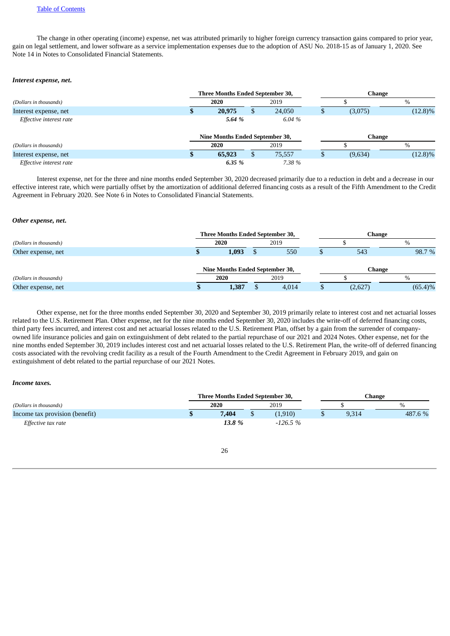The change in other operating (income) expense, net was attributed primarily to higher foreign currency transaction gains compared to prior year, gain on legal settlement, and lower software as a service implementation expenses due to the adoption of ASU No. 2018-15 as of January 1, 2020. See Note 14 in Notes to Consolidated Financial Statements.

#### *Interest expense, net***.**

|                         |  |                                 | Three Months Ended September 30, |   | Change |     |               |            |  |  |
|-------------------------|--|---------------------------------|----------------------------------|---|--------|-----|---------------|------------|--|--|
| (Dollars in thousands)  |  | 2020                            |                                  |   | 2019   |     |               | $\%$       |  |  |
| Interest expense, net   |  |                                 | 20,975                           | D | 24,050 | ۰Ļ. | (3,075)       | $(12.8)\%$ |  |  |
| Effective interest rate |  |                                 | 5.64 %                           |   | 6.04 % |     |               |            |  |  |
|                         |  | Nine Months Ended September 30, |                                  |   |        |     | <b>Change</b> |            |  |  |
| (Dollars in thousands)  |  |                                 | 2020                             |   | 2019   |     |               | $\%$       |  |  |
| Interest expense, net   |  |                                 | 65,923                           | S | 75,557 | J   | (9,634)       | $(12.8)\%$ |  |  |
| Effective interest rate |  |                                 | 6.35 %                           |   | 7.38 % |     |               |            |  |  |

Interest expense, net for the three and nine months ended September 30, 2020 decreased primarily due to a reduction in debt and a decrease in our effective interest rate, which were partially offset by the amortization of additional deferred financing costs as a result of the Fifth Amendment to the Credit Agreement in February 2020. See Note 6 in Notes to Consolidated Financial Statements.

#### *Other expense, net***.**

|                        |  | Three Months Ended September 30, |  | Change |  |         |            |  |
|------------------------|--|----------------------------------|--|--------|--|---------|------------|--|
| (Dollars in thousands) |  | 2020                             |  | 2019   |  |         | $\%$       |  |
| Other expense, net     |  | 1,093                            |  | 550    |  | 543     | 98.7 %     |  |
|                        |  | Nine Months Ended September 30,  |  |        |  | Change  |            |  |
| (Dollars in thousands) |  | 2020                             |  | 2019   |  |         | $\%$       |  |
| Other expense, net     |  | 1,387                            |  | 4,014  |  | (2,627) | $(65.4)\%$ |  |

Other expense, net for the three months ended September 30, 2020 and September 30, 2019 primarily relate to interest cost and net actuarial losses related to the U.S. Retirement Plan. Other expense, net for the nine months ended September 30, 2020 includes the write-off of deferred financing costs, third party fees incurred, and interest cost and net actuarial losses related to the U.S. Retirement Plan, offset by a gain from the surrender of companyowned life insurance policies and gain on extinguishment of debt related to the partial repurchase of our 2021 and 2024 Notes. Other expense, net for the nine months ended September 30, 2019 includes interest cost and net actuarial losses related to the U.S. Retirement Plan, the write-off of deferred financing costs associated with the revolving credit facility as a result of the Fourth Amendment to the Credit Agreement in February 2019, and gain on extinguishment of debt related to the partial repurchase of our 2021 Notes.

# *Income taxes.*

|                                | Three Months Ended September 30, |        |  |           |  |       | Change        |  |  |  |
|--------------------------------|----------------------------------|--------|--|-----------|--|-------|---------------|--|--|--|
| (Dollars in thousands)         | 2020                             |        |  | 2019      |  |       | $\frac{0}{0}$ |  |  |  |
| Income tax provision (benefit) |                                  | 7,404  |  | (1.910)   |  | 9,314 | 487.6 %       |  |  |  |
| Effective tax rate             |                                  | 13.8 % |  | $-126.5%$ |  |       |               |  |  |  |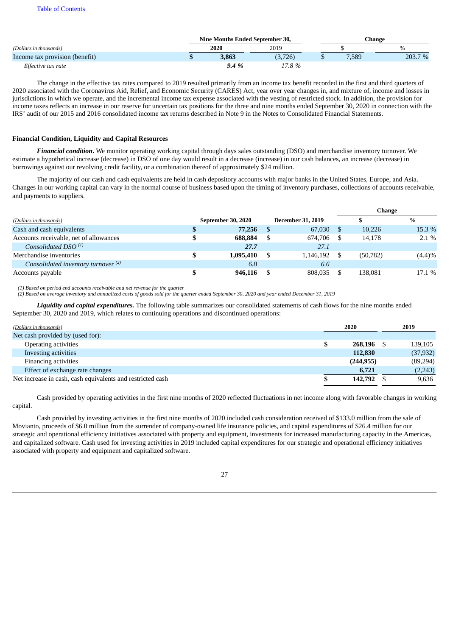# Table of [Contents](#page-0-0)

|                                |  | Nine Months Ended September 30, |         |  |       | Change  |  |  |  |
|--------------------------------|--|---------------------------------|---------|--|-------|---------|--|--|--|
| (Dollars in thousands)         |  | 2020                            | 2019    |  |       |         |  |  |  |
| Income tax provision (benefit) |  | 3,863                           | (3,726) |  | 7,589 | 203.7 % |  |  |  |
| Effective tax rate             |  | 9.4%                            | 17.8%   |  |       |         |  |  |  |

The change in the effective tax rates compared to 2019 resulted primarily from an income tax benefit recorded in the first and third quarters of 2020 associated with the Coronavirus Aid, Relief, and Economic Security (CARES) Act, year over year changes in, and mixture of, income and losses in jurisdictions in which we operate, and the incremental income tax expense associated with the vesting of restricted stock. In addition, the provision for income taxes reflects an increase in our reserve for uncertain tax positions for the three and nine months ended September 30, 2020 in connection with the IRS' audit of our 2015 and 2016 consolidated income tax returns described in Note 9 in the Notes to Consolidated Financial Statements.

## **Financial Condition, Liquidity and Capital Resources**

*Financial condition***.** We monitor operating working capital through days sales outstanding (DSO) and merchandise inventory turnover. We estimate a hypothetical increase (decrease) in DSO of one day would result in a decrease (increase) in our cash balances, an increase (decrease) in borrowings against our revolving credit facility, or a combination thereof of approximately \$24 million.

The majority of our cash and cash equivalents are held in cash depository accounts with major banks in the United States, Europe, and Asia. Changes in our working capital can vary in the normal course of business based upon the timing of inventory purchases, collections of accounts receivable, and payments to suppliers.

**Change**

|                                                |                    |                          | спангс |           |           |  |
|------------------------------------------------|--------------------|--------------------------|--------|-----------|-----------|--|
| (Dollars in thousands)                         | September 30, 2020 | <b>December 31, 2019</b> |        |           | %         |  |
| Cash and cash equivalents                      | 77,256             | 67,030                   |        | 10,226    | 15.3 %    |  |
| Accounts receivable, net of allowances         | 688.884            | 674.706                  |        | 14.178    | $2.1\%$   |  |
| Consolidated DSO $(1)$                         | 27.7               | 27.1                     |        |           |           |  |
| Merchandise inventories                        | 1,095,410          | 1,146,192                |        | (50, 782) | $(4.4)\%$ |  |
| Consolidated inventory turnover <sup>(2)</sup> | 6.8                | 6.6                      |        |           |           |  |
| Accounts payable                               | 946,116            | 808.035                  |        | 138.081   | 17.1 %    |  |

*(1) Based on period end accounts receivable and net revenue for the quarter*

(2) Based on average inventory and annualized costs of goods sold for the quarter ended September 30, 2020 and year ended December 31, 2019

*Liquidity and capital expenditures.* The following table summarizes our consolidated statements of cash flows for the nine months ended September 30, 2020 and 2019, which relates to continuing operations and discontinued operations:

| (Dollars in thousands)                                     | 2020       |      | 2019      |  |
|------------------------------------------------------------|------------|------|-----------|--|
| Net cash provided by (used for):                           |            |      |           |  |
| <b>Operating activities</b>                                | 268.196    | - \$ | 139,105   |  |
| Investing activities                                       | 112,830    |      | (37, 932) |  |
| <b>Financing activities</b>                                | (244, 955) |      | (89,294)  |  |
| Effect of exchange rate changes                            | 6.721      |      | (2,243)   |  |
| Net increase in cash, cash equivalents and restricted cash | 142,792    |      | 9,636     |  |

Cash provided by operating activities in the first nine months of 2020 reflected fluctuations in net income along with favorable changes in working capital.

Cash provided by investing activities in the first nine months of 2020 included cash consideration received of \$133.0 million from the sale of Movianto, proceeds of \$6.0 million from the surrender of company-owned life insurance policies, and capital expenditures of \$26.4 million for our strategic and operational efficiency initiatives associated with property and equipment, investments for increased manufacturing capacity in the Americas, and capitalized software. Cash used for investing activities in 2019 included capital expenditures for our strategic and operational efficiency initiatives associated with property and equipment and capitalized software.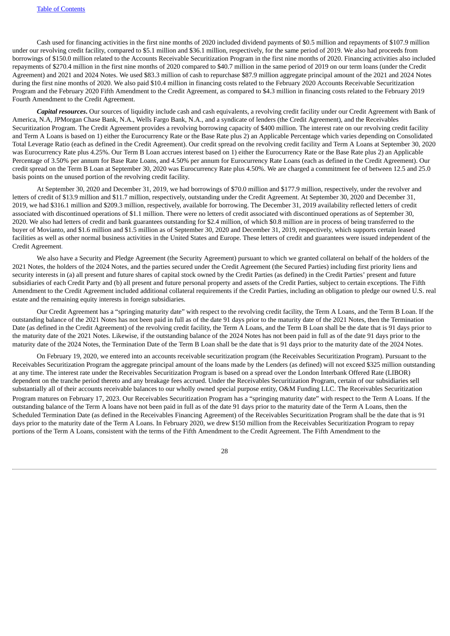Cash used for financing activities in the first nine months of 2020 included dividend payments of \$0.5 million and repayments of \$107.9 million under our revolving credit facility, compared to \$5.1 million and \$36.1 million, respectively, for the same period of 2019. We also had proceeds from borrowings of \$150.0 million related to the Accounts Receivable Securitization Program in the first nine months of 2020. Financing activities also included repayments of \$270.4 million in the first nine months of 2020 compared to \$40.7 million in the same period of 2019 on our term loans (under the Credit Agreement) and 2021 and 2024 Notes. We used \$83.3 million of cash to repurchase \$87.9 million aggregate principal amount of the 2021 and 2024 Notes during the first nine months of 2020. We also paid \$10.4 million in financing costs related to the February 2020 Accounts Receivable Securitization Program and the February 2020 Fifth Amendment to the Credit Agreement, as compared to \$4.3 million in financing costs related to the February 2019 Fourth Amendment to the Credit Agreement.

*Capital resources***.** Our sources of liquidity include cash and cash equivalents, a revolving credit facility under our Credit Agreement with Bank of America, N.A, JPMorgan Chase Bank, N.A., Wells Fargo Bank, N.A., and a syndicate of lenders (the Credit Agreement), and the Receivables Securitization Program. The Credit Agreement provides a revolving borrowing capacity of \$400 million. The interest rate on our revolving credit facility and Term A Loans is based on 1) either the Eurocurrency Rate or the Base Rate plus 2) an Applicable Percentage which varies depending on Consolidated Total Leverage Ratio (each as defined in the Credit Agreement). Our credit spread on the revolving credit facility and Term A Loans at September 30, 2020 was Eurocurrency Rate plus 4.25%. Our Term B Loan accrues interest based on 1) either the Eurocurrency Rate or the Base Rate plus 2) an Applicable Percentage of 3.50% per annum for Base Rate Loans, and 4.50% per annum for Eurocurrency Rate Loans (each as defined in the Credit Agreement). Our credit spread on the Term B Loan at September 30, 2020 was Eurocurrency Rate plus 4.50%. We are charged a commitment fee of between 12.5 and 25.0 basis points on the unused portion of the revolving credit facility.

At September 30, 2020 and December 31, 2019, we had borrowings of \$70.0 million and \$177.9 million, respectively, under the revolver and letters of credit of \$13.9 million and \$11.7 million, respectively, outstanding under the Credit Agreement. At September 30, 2020 and December 31, 2019, we had \$316.1 million and \$209.3 million, respectively, available for borrowing. The December 31, 2019 availability reflected letters of credit associated with discontinued operations of \$1.1 million. There were no letters of credit associated with discontinued operations as of September 30, 2020. We also had letters of credit and bank guarantees outstanding for \$2.4 million, of which \$0.8 million are in process of being transferred to the buyer of Movianto, and \$1.6 million and \$1.5 million as of September 30, 2020 and December 31, 2019, respectively, which supports certain leased facilities as well as other normal business activities in the United States and Europe. These letters of credit and guarantees were issued independent of the Credit Agreement.

We also have a Security and Pledge Agreement (the Security Agreement) pursuant to which we granted collateral on behalf of the holders of the 2021 Notes, the holders of the 2024 Notes, and the parties secured under the Credit Agreement (the Secured Parties) including first priority liens and security interests in (a) all present and future shares of capital stock owned by the Credit Parties (as defined) in the Credit Parties' present and future subsidiaries of each Credit Party and (b) all present and future personal property and assets of the Credit Parties, subject to certain exceptions. The Fifth Amendment to the Credit Agreement included additional collateral requirements if the Credit Parties, including an obligation to pledge our owned U.S. real estate and the remaining equity interests in foreign subsidiaries.

Our Credit Agreement has a "springing maturity date" with respect to the revolving credit facility, the Term A Loans, and the Term B Loan. If the outstanding balance of the 2021 Notes has not been paid in full as of the date 91 days prior to the maturity date of the 2021 Notes, then the Termination Date (as defined in the Credit Agreement) of the revolving credit facility, the Term A Loans, and the Term B Loan shall be the date that is 91 days prior to the maturity date of the 2021 Notes. Likewise, if the outstanding balance of the 2024 Notes has not been paid in full as of the date 91 days prior to the maturity date of the 2024 Notes, the Termination Date of the Term B Loan shall be the date that is 91 days prior to the maturity date of the 2024 Notes.

On February 19, 2020, we entered into an accounts receivable securitization program (the Receivables Securitization Program). Pursuant to the Receivables Securitization Program the aggregate principal amount of the loans made by the Lenders (as defined) will not exceed \$325 million outstanding at any time. The interest rate under the Receivables Securitization Program is based on a spread over the London Interbank Offered Rate (LIBOR) dependent on the tranche period thereto and any breakage fees accrued. Under the Receivables Securitization Program, certain of our subsidiaries sell substantially all of their accounts receivable balances to our wholly owned special purpose entity, O&M Funding LLC. The Receivables Securitization Program matures on February 17, 2023. Our Receivables Securitization Program has a "springing maturity date" with respect to the Term A Loans. If the outstanding balance of the Term A loans have not been paid in full as of the date 91 days prior to the maturity date of the Term A Loans, then the Scheduled Termination Date (as defined in the Receivables Financing Agreement) of the Receivables Securitization Program shall be the date that is 91 days prior to the maturity date of the Term A Loans. In February 2020, we drew \$150 million from the Receivables Securitization Program to repay portions of the Term A Loans, consistent with the terms of the Fifth Amendment to the Credit Agreement. The Fifth Amendment to the

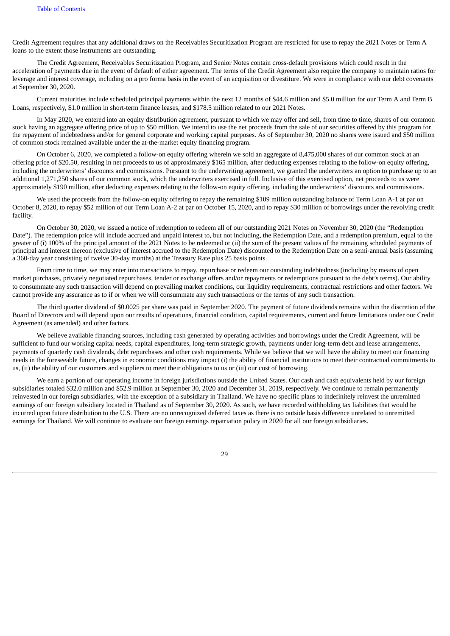Credit Agreement requires that any additional draws on the Receivables Securitization Program are restricted for use to repay the 2021 Notes or Term A loans to the extent those instruments are outstanding.

The Credit Agreement, Receivables Securitization Program, and Senior Notes contain cross-default provisions which could result in the acceleration of payments due in the event of default of either agreement. The terms of the Credit Agreement also require the company to maintain ratios for leverage and interest coverage, including on a pro forma basis in the event of an acquisition or divestiture. We were in compliance with our debt covenants at September 30, 2020.

Current maturities include scheduled principal payments within the next 12 months of \$44.6 million and \$5.0 million for our Term A and Term B Loans, respectively, \$1.0 million in short-term finance leases, and \$178.5 million related to our 2021 Notes.

In May 2020, we entered into an equity distribution agreement, pursuant to which we may offer and sell, from time to time, shares of our common stock having an aggregate offering price of up to \$50 million. We intend to use the net proceeds from the sale of our securities offered by this program for the repayment of indebtedness and/or for general corporate and working capital purposes. As of September 30, 2020 no shares were issued and \$50 million of common stock remained available under the at-the-market equity financing program.

On October 6, 2020, we completed a follow-on equity offering wherein we sold an aggregate of 8,475,000 shares of our common stock at an offering price of \$20.50, resulting in net proceeds to us of approximately \$165 million, after deducting expenses relating to the follow-on equity offering, including the underwriters' discounts and commissions. Pursuant to the underwriting agreement, we granted the underwriters an option to purchase up to an additional 1,271,250 shares of our common stock, which the underwriters exercised in full. Inclusive of this exercised option, net proceeds to us were approximately \$190 million, after deducting expenses relating to the follow-on equity offering, including the underwriters' discounts and commissions.

We used the proceeds from the follow-on equity offering to repay the remaining \$109 million outstanding balance of Term Loan A-1 at par on October 8, 2020, to repay \$52 million of our Term Loan A-2 at par on October 15, 2020, and to repay \$30 million of borrowings under the revolving credit facility.

On October 30, 2020, we issued a notice of redemption to redeem all of our outstanding 2021 Notes on November 30, 2020 (the "Redemption Date"). The redemption price will include accrued and unpaid interest to, but not including, the Redemption Date, and a redemption premium, equal to the greater of (i) 100% of the principal amount of the 2021 Notes to be redeemed or (ii) the sum of the present values of the remaining scheduled payments of principal and interest thereon (exclusive of interest accrued to the Redemption Date) discounted to the Redemption Date on a semi-annual basis (assuming a 360-day year consisting of twelve 30-day months) at the Treasury Rate plus 25 basis points.

From time to time, we may enter into transactions to repay, repurchase or redeem our outstanding indebtedness (including by means of open market purchases, privately negotiated repurchases, tender or exchange offers and/or repayments or redemptions pursuant to the debt's terms). Our ability to consummate any such transaction will depend on prevailing market conditions, our liquidity requirements, contractual restrictions and other factors. We cannot provide any assurance as to if or when we will consummate any such transactions or the terms of any such transaction.

The third quarter dividend of \$0.0025 per share was paid in September 2020. The payment of future dividends remains within the discretion of the Board of Directors and will depend upon our results of operations, financial condition, capital requirements, current and future limitations under our Credit Agreement (as amended) and other factors.

We believe available financing sources, including cash generated by operating activities and borrowings under the Credit Agreement, will be sufficient to fund our working capital needs, capital expenditures, long-term strategic growth, payments under long-term debt and lease arrangements, payments of quarterly cash dividends, debt repurchases and other cash requirements. While we believe that we will have the ability to meet our financing needs in the foreseeable future, changes in economic conditions may impact (i) the ability of financial institutions to meet their contractual commitments to us, (ii) the ability of our customers and suppliers to meet their obligations to us or (iii) our cost of borrowing.

We earn a portion of our operating income in foreign jurisdictions outside the United States. Our cash and cash equivalents held by our foreign subsidiaries totaled \$32.0 million and \$52.9 million at September 30, 2020 and December 31, 2019, respectively. We continue to remain permanently reinvested in our foreign subsidiaries, with the exception of a subsidiary in Thailand. We have no specific plans to indefinitely reinvest the unremitted earnings of our foreign subsidiary located in Thailand as of September 30, 2020. As such, we have recorded withholding tax liabilities that would be incurred upon future distribution to the U.S. There are no unrecognized deferred taxes as there is no outside basis difference unrelated to unremitted earnings for Thailand. We will continue to evaluate our foreign earnings repatriation policy in 2020 for all our foreign subsidiaries.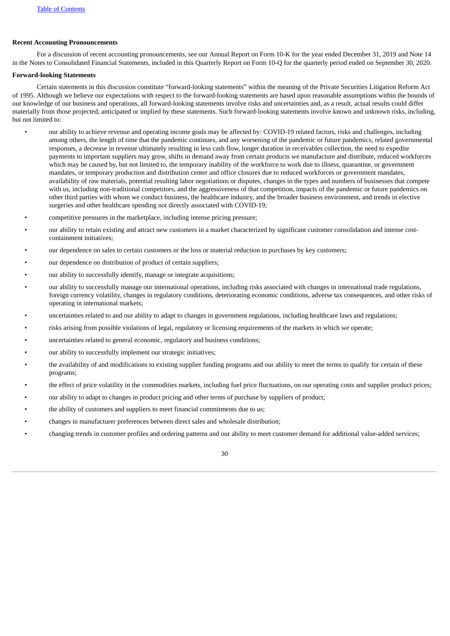## **Recent Accounting Pronouncements**

For a discussion of recent accounting pronouncements, see our Annual Report on Form 10-K for the year ended December 31, 2019 and Note 14 in the Notes to Consolidated Financial Statements, included in this Quarterly Report on Form 10-Q for the quarterly period ended on September 30, 2020.

## **Forward-looking Statements**

Certain statements in this discussion constitute "forward-looking statements" within the meaning of the Private Securities Litigation Reform Act of 1995. Although we believe our expectations with respect to the forward-looking statements are based upon reasonable assumptions within the bounds of our knowledge of our business and operations, all forward-looking statements involve risks and uncertainties and, as a result, actual results could differ materially from those projected, anticipated or implied by these statements. Such forward-looking statements involve known and unknown risks, including, but not limited to:

- our ability to achieve revenue and operating income goals may be affected by: COVID-19 related factors, risks and challenges, including among others, the length of time that the pandemic continues, and any worsening of the pandemic or future pandemics, related governmental responses, a decrease in revenue ultimately resulting in less cash flow, longer duration in receivables collection, the need to expedite payments to important suppliers may grow, shifts in demand away from certain products we manufacture and distribute, reduced workforces which may be caused by, but not limited to, the temporary inability of the workforce to work due to illness, quarantine, or government mandates, or temporary production and distribution center and office closures due to reduced workforces or government mandates, availability of raw materials, potential resulting labor negotiations or disputes, changes in the types and numbers of businesses that compete with us, including non-traditional competitors, and the aggressiveness of that competition, impacts of the pandemic or future pandemics on other third parties with whom we conduct business, the healthcare industry, and the broader business environment, and trends in elective surgeries and other healthcare spending not directly associated with COVID-19;
- competitive pressures in the marketplace, including intense pricing pressure;
- our ability to retain existing and attract new customers in a market characterized by significant customer consolidation and intense costcontainment initiatives;
- our dependence on sales to certain customers or the loss or material reduction in purchases by key customers;
- our dependence on distribution of product of certain suppliers;
- our ability to successfully identify, manage or integrate acquisitions;
- our ability to successfully manage our international operations, including risks associated with changes in international trade regulations, foreign currency volatility, changes in regulatory conditions, deteriorating economic conditions, adverse tax consequences, and other risks of operating in international markets;
- uncertainties related to and our ability to adapt to changes in government regulations, including healthcare laws and regulations;
- risks arising from possible violations of legal, regulatory or licensing requirements of the markets in which we operate;
- uncertainties related to general economic, regulatory and business conditions;
- our ability to successfully implement our strategic initiatives;
- the availability of and modifications to existing supplier funding programs and our ability to meet the terms to qualify for certain of these programs;
- the effect of price volatility in the commodities markets, including fuel price fluctuations, on our operating costs and supplier product prices;
- our ability to adapt to changes in product pricing and other terms of purchase by suppliers of product;
- the ability of customers and suppliers to meet financial commitments due to us;
- changes in manufacturer preferences between direct sales and wholesale distribution;
- changing trends in customer profiles and ordering patterns and our ability to meet customer demand for additional value-added services;

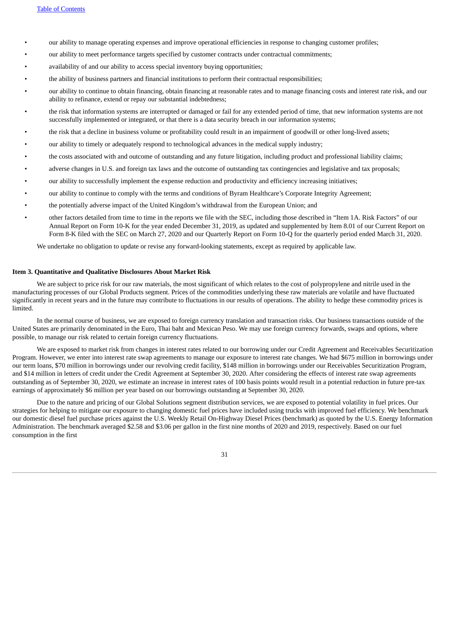- our ability to manage operating expenses and improve operational efficiencies in response to changing customer profiles;
- our ability to meet performance targets specified by customer contracts under contractual commitments;
- availability of and our ability to access special inventory buying opportunities;
- the ability of business partners and financial institutions to perform their contractual responsibilities;
- our ability to continue to obtain financing, obtain financing at reasonable rates and to manage financing costs and interest rate risk, and our ability to refinance, extend or repay our substantial indebtedness;
- the risk that information systems are interrupted or damaged or fail for any extended period of time, that new information systems are not successfully implemented or integrated, or that there is a data security breach in our information systems;
- the risk that a decline in business volume or profitability could result in an impairment of goodwill or other long-lived assets;
- our ability to timely or adequately respond to technological advances in the medical supply industry;
- the costs associated with and outcome of outstanding and any future litigation, including product and professional liability claims;
- adverse changes in U.S. and foreign tax laws and the outcome of outstanding tax contingencies and legislative and tax proposals;
- our ability to successfully implement the expense reduction and productivity and efficiency increasing initiatives;
- our ability to continue to comply with the terms and conditions of Byram Healthcare's Corporate Integrity Agreement;
- the potentially adverse impact of the United Kingdom's withdrawal from the European Union; and
- other factors detailed from time to time in the reports we file with the SEC, including those described in "Item 1A. Risk Factors" of our Annual Report on Form 10-K for the year ended December 31, 2019, as updated and supplemented by Item 8.01 of our Current Report on Form 8-K filed with the SEC on March 27, 2020 and our Quarterly Report on Form 10-Q for the quarterly period ended March 31, 2020.

We undertake no obligation to update or revise any forward-looking statements, except as required by applicable law.

## <span id="page-30-0"></span>**Item 3. Quantitative and Qualitative Disclosures About Market Risk**

We are subject to price risk for our raw materials, the most significant of which relates to the cost of polypropylene and nitrile used in the manufacturing processes of our Global Products segment. Prices of the commodities underlying these raw materials are volatile and have fluctuated significantly in recent years and in the future may contribute to fluctuations in our results of operations. The ability to hedge these commodity prices is limited.

In the normal course of business, we are exposed to foreign currency translation and transaction risks. Our business transactions outside of the United States are primarily denominated in the Euro, Thai baht and Mexican Peso. We may use foreign currency forwards, swaps and options, where possible, to manage our risk related to certain foreign currency fluctuations.

We are exposed to market risk from changes in interest rates related to our borrowing under our Credit Agreement and Receivables Securitization Program. However, we enter into interest rate swap agreements to manage our exposure to interest rate changes. We had \$675 million in borrowings under our term loans, \$70 million in borrowings under our revolving credit facility, \$148 million in borrowings under our Receivables Securitization Program, and \$14 million in letters of credit under the Credit Agreement at September 30, 2020. After considering the effects of interest rate swap agreements outstanding as of September 30, 2020, we estimate an increase in interest rates of 100 basis points would result in a potential reduction in future pre-tax earnings of approximately \$6 million per year based on our borrowings outstanding at September 30, 2020.

Due to the nature and pricing of our Global Solutions segment distribution services, we are exposed to potential volatility in fuel prices. Our strategies for helping to mitigate our exposure to changing domestic fuel prices have included using trucks with improved fuel efficiency. We benchmark our domestic diesel fuel purchase prices against the U.S. Weekly Retail On-Highway Diesel Prices (benchmark) as quoted by the U.S. Energy Information Administration. The benchmark averaged \$2.58 and \$3.06 per gallon in the first nine months of 2020 and 2019, respectively. Based on our fuel consumption in the first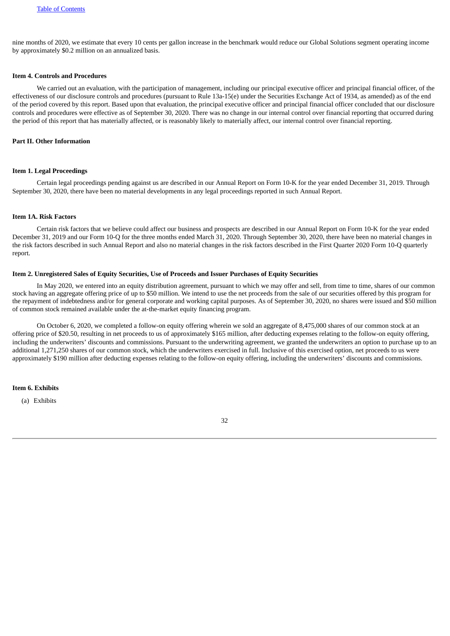nine months of 2020, we estimate that every 10 cents per gallon increase in the benchmark would reduce our Global Solutions segment operating income by approximately \$0.2 million on an annualized basis.

#### <span id="page-31-0"></span>**Item 4. Controls and Procedures**

We carried out an evaluation, with the participation of management, including our principal executive officer and principal financial officer, of the effectiveness of our disclosure controls and procedures (pursuant to Rule 13a-15(e) under the Securities Exchange Act of 1934, as amended) as of the end of the period covered by this report. Based upon that evaluation, the principal executive officer and principal financial officer concluded that our disclosure controls and procedures were effective as of September 30, 2020. There was no change in our internal control over financial reporting that occurred during the period of this report that has materially affected, or is reasonably likely to materially affect, our internal control over financial reporting.

## <span id="page-31-1"></span>**Part II. Other Information**

#### <span id="page-31-2"></span>**Item 1. Legal Proceedings**

Certain legal proceedings pending against us are described in our Annual Report on Form 10-K for the year ended December 31, 2019. Through September 30, 2020, there have been no material developments in any legal proceedings reported in such Annual Report.

## <span id="page-31-3"></span>**Item 1A. Risk Factors**

Certain risk factors that we believe could affect our business and prospects are described in our Annual Report on Form 10-K for the year ended December 31, 2019 and our Form 10-Q for the three months ended March 31, 2020. Through September 30, 2020, there have been no material changes in the risk factors described in such Annual Report and also no material changes in the risk factors described in the First Quarter 2020 Form 10-Q quarterly report.

### <span id="page-31-4"></span>**Item 2. Unregistered Sales of Equity Securities, Use of Proceeds and Issuer Purchases of Equity Securities**

In May 2020, we entered into an equity distribution agreement, pursuant to which we may offer and sell, from time to time, shares of our common stock having an aggregate offering price of up to \$50 million. We intend to use the net proceeds from the sale of our securities offered by this program for the repayment of indebtedness and/or for general corporate and working capital purposes. As of September 30, 2020, no shares were issued and \$50 million of common stock remained available under the at-the-market equity financing program.

On October 6, 2020, we completed a follow-on equity offering wherein we sold an aggregate of 8,475,000 shares of our common stock at an offering price of \$20.50, resulting in net proceeds to us of approximately \$165 million, after deducting expenses relating to the follow-on equity offering, including the underwriters' discounts and commissions. Pursuant to the underwriting agreement, we granted the underwriters an option to purchase up to an additional 1,271,250 shares of our common stock, which the underwriters exercised in full. Inclusive of this exercised option, net proceeds to us were approximately \$190 million after deducting expenses relating to the follow-on equity offering, including the underwriters' discounts and commissions.

## <span id="page-31-5"></span>**Item 6. Exhibits**

(a) Exhibits

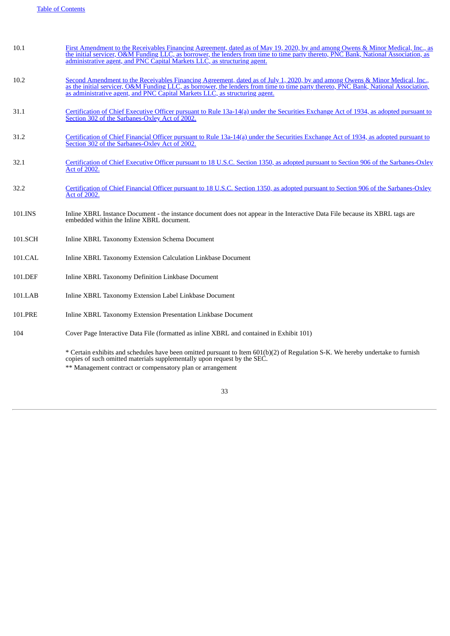| 10.1    | First Amendment to the Receivables Financing Agreement, dated as of May 19, 2020, by and among Owens & Minor Medical, Inc., as<br>the initial servicer, O&M Funding LLC, as borrower, the lenders from time to time party thereto, PNC Bank, National Association, as<br>administrative agent, and PNC Capital Markets LLC, as structuring agent.  |
|---------|----------------------------------------------------------------------------------------------------------------------------------------------------------------------------------------------------------------------------------------------------------------------------------------------------------------------------------------------------|
| 10.2    | Second Amendment to the Receivables Financing Agreement, dated as of July 1, 2020, by and among Owens & Minor Medical, Inc.,<br>as the initial servicer, O&M Funding LLC, as borrower, the lenders from time to time party thereto, PNC Bank, National Association,<br>as administrative agent, and PNC Capital Markets LLC, as structuring agent. |
| 31.1    | Certification of Chief Executive Officer pursuant to Rule 13a-14(a) under the Securities Exchange Act of 1934, as adopted pursuant to<br>Section 302 of the Sarbanes-Oxley Act of 2002.                                                                                                                                                            |
| 31.2    | Certification of Chief Financial Officer pursuant to Rule 13a-14(a) under the Securities Exchange Act of 1934, as adopted pursuant to<br>Section 302 of the Sarbanes-Oxley Act of 2002.                                                                                                                                                            |
| 32.1    | Certification of Chief Executive Officer pursuant to 18 U.S.C. Section 1350, as adopted pursuant to Section 906 of the Sarbanes-Oxley<br><b>Act of 2002.</b>                                                                                                                                                                                       |
| 32.2    | Certification of Chief Financial Officer pursuant to 18 U.S.C. Section 1350, as adopted pursuant to Section 906 of the Sarbanes-Oxley<br>Act of 2002.                                                                                                                                                                                              |
| 101.INS | Inline XBRL Instance Document - the instance document does not appear in the Interactive Data File because its XBRL tags are<br>embedded within the Inline XBRL document.                                                                                                                                                                          |
| 101.SCH | Inline XBRL Taxonomy Extension Schema Document                                                                                                                                                                                                                                                                                                     |
| 101.CAL | Inline XBRL Taxonomy Extension Calculation Linkbase Document                                                                                                                                                                                                                                                                                       |
| 101.DEF | Inline XBRL Taxonomy Definition Linkbase Document                                                                                                                                                                                                                                                                                                  |
| 101.LAB | Inline XBRL Taxonomy Extension Label Linkbase Document                                                                                                                                                                                                                                                                                             |
| 101.PRE | Inline XBRL Taxonomy Extension Presentation Linkbase Document                                                                                                                                                                                                                                                                                      |
| 104     | Cover Page Interactive Data File (formatted as inline XBRL and contained in Exhibit 101)                                                                                                                                                                                                                                                           |

\* Certain exhibits and schedules have been omitted pursuant to Item 601(b)(2) of Regulation S-K. We hereby undertake to furnish copies of such omitted materials supplementally upon request by the SEC. \*\* Management contract or compensatory plan or arrangement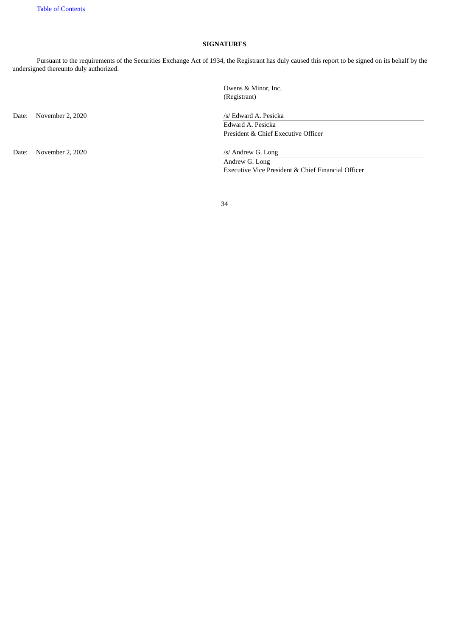# **SIGNATURES**

Pursuant to the requirements of the Securities Exchange Act of 1934, the Registrant has duly caused this report to be signed on its behalf by the undersigned thereunto duly authorized.

Date: November 2, 2020 /s/ Edward A. Pesicka

Date: November 2, 2020 /s/ Andrew G. Long

Owens & Minor, Inc. (Registrant)

Edward A. Pesicka President & Chief Executive Officer

Andrew G. Long Executive Vice President & Chief Financial Officer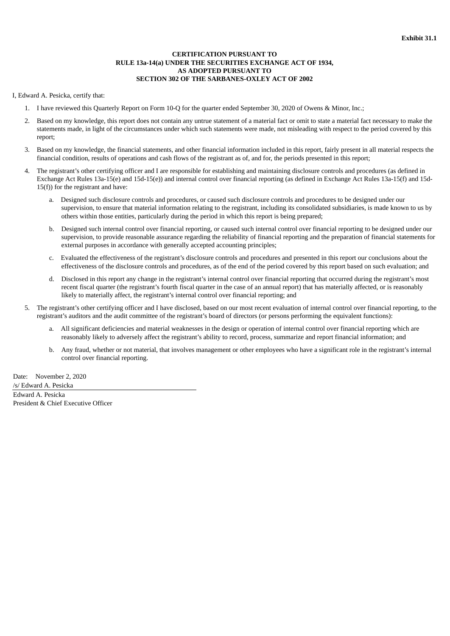# **CERTIFICATION PURSUANT TO RULE 13a-14(a) UNDER THE SECURITIES EXCHANGE ACT OF 1934, AS ADOPTED PURSUANT TO SECTION 302 OF THE SARBANES-OXLEY ACT OF 2002**

<span id="page-34-0"></span>I, Edward A. Pesicka, certify that:

- 1. I have reviewed this Quarterly Report on Form 10-Q for the quarter ended September 30, 2020 of Owens & Minor, Inc.;
- 2. Based on my knowledge, this report does not contain any untrue statement of a material fact or omit to state a material fact necessary to make the statements made, in light of the circumstances under which such statements were made, not misleading with respect to the period covered by this report;
- 3. Based on my knowledge, the financial statements, and other financial information included in this report, fairly present in all material respects the financial condition, results of operations and cash flows of the registrant as of, and for, the periods presented in this report;
- 4. The registrant's other certifying officer and I are responsible for establishing and maintaining disclosure controls and procedures (as defined in Exchange Act Rules 13a-15(e) and 15d-15(e)) and internal control over financial reporting (as defined in Exchange Act Rules 13a-15(f) and 15d-15(f)) for the registrant and have:
	- a. Designed such disclosure controls and procedures, or caused such disclosure controls and procedures to be designed under our supervision, to ensure that material information relating to the registrant, including its consolidated subsidiaries, is made known to us by others within those entities, particularly during the period in which this report is being prepared;
	- b. Designed such internal control over financial reporting, or caused such internal control over financial reporting to be designed under our supervision, to provide reasonable assurance regarding the reliability of financial reporting and the preparation of financial statements for external purposes in accordance with generally accepted accounting principles;
	- c. Evaluated the effectiveness of the registrant's disclosure controls and procedures and presented in this report our conclusions about the effectiveness of the disclosure controls and procedures, as of the end of the period covered by this report based on such evaluation; and
	- d. Disclosed in this report any change in the registrant's internal control over financial reporting that occurred during the registrant's most recent fiscal quarter (the registrant's fourth fiscal quarter in the case of an annual report) that has materially affected, or is reasonably likely to materially affect, the registrant's internal control over financial reporting; and
- 5. The registrant's other certifying officer and I have disclosed, based on our most recent evaluation of internal control over financial reporting, to the registrant's auditors and the audit committee of the registrant's board of directors (or persons performing the equivalent functions):
	- a. All significant deficiencies and material weaknesses in the design or operation of internal control over financial reporting which are reasonably likely to adversely affect the registrant's ability to record, process, summarize and report financial information; and
	- b. Any fraud, whether or not material, that involves management or other employees who have a significant role in the registrant's internal control over financial reporting.

Date: November 2, 2020 /s/ Edward A. Pesicka Edward A. Pesicka President & Chief Executive Officer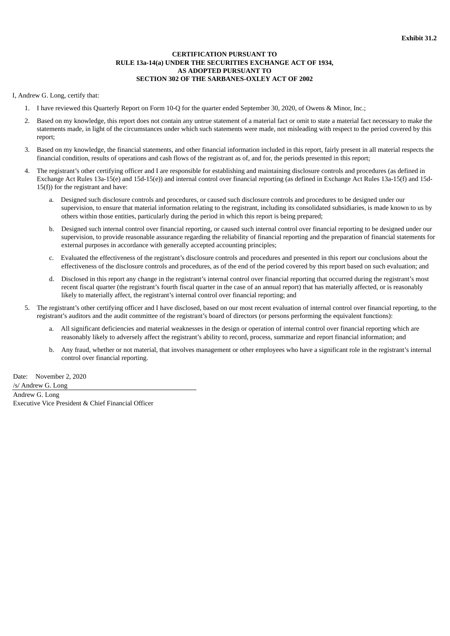# **CERTIFICATION PURSUANT TO RULE 13a-14(a) UNDER THE SECURITIES EXCHANGE ACT OF 1934, AS ADOPTED PURSUANT TO SECTION 302 OF THE SARBANES-OXLEY ACT OF 2002**

# <span id="page-35-0"></span>I, Andrew G. Long, certify that:

- 1. I have reviewed this Quarterly Report on Form 10-Q for the quarter ended September 30, 2020, of Owens & Minor, Inc.;
- 2. Based on my knowledge, this report does not contain any untrue statement of a material fact or omit to state a material fact necessary to make the statements made, in light of the circumstances under which such statements were made, not misleading with respect to the period covered by this report;
- 3. Based on my knowledge, the financial statements, and other financial information included in this report, fairly present in all material respects the financial condition, results of operations and cash flows of the registrant as of, and for, the periods presented in this report;
- 4. The registrant's other certifying officer and I are responsible for establishing and maintaining disclosure controls and procedures (as defined in Exchange Act Rules 13a-15(e) and 15d-15(e)) and internal control over financial reporting (as defined in Exchange Act Rules 13a-15(f) and 15d-15(f)) for the registrant and have:
	- a. Designed such disclosure controls and procedures, or caused such disclosure controls and procedures to be designed under our supervision, to ensure that material information relating to the registrant, including its consolidated subsidiaries, is made known to us by others within those entities, particularly during the period in which this report is being prepared;
	- b. Designed such internal control over financial reporting, or caused such internal control over financial reporting to be designed under our supervision, to provide reasonable assurance regarding the reliability of financial reporting and the preparation of financial statements for external purposes in accordance with generally accepted accounting principles;
	- c. Evaluated the effectiveness of the registrant's disclosure controls and procedures and presented in this report our conclusions about the effectiveness of the disclosure controls and procedures, as of the end of the period covered by this report based on such evaluation; and
	- d. Disclosed in this report any change in the registrant's internal control over financial reporting that occurred during the registrant's most recent fiscal quarter (the registrant's fourth fiscal quarter in the case of an annual report) that has materially affected, or is reasonably likely to materially affect, the registrant's internal control over financial reporting; and
- 5. The registrant's other certifying officer and I have disclosed, based on our most recent evaluation of internal control over financial reporting, to the registrant's auditors and the audit committee of the registrant's board of directors (or persons performing the equivalent functions):
	- a. All significant deficiencies and material weaknesses in the design or operation of internal control over financial reporting which are reasonably likely to adversely affect the registrant's ability to record, process, summarize and report financial information; and
	- b. Any fraud, whether or not material, that involves management or other employees who have a significant role in the registrant's internal control over financial reporting.

Date: November 2, 2020 /s/ Andrew G. Long Andrew G. Long Executive Vice President & Chief Financial Officer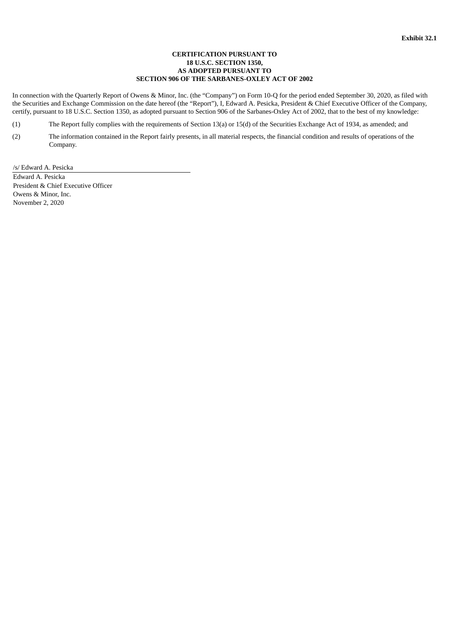# **CERTIFICATION PURSUANT TO 18 U.S.C. SECTION 1350, AS ADOPTED PURSUANT TO SECTION 906 OF THE SARBANES-OXLEY ACT OF 2002**

<span id="page-36-0"></span>In connection with the Quarterly Report of Owens & Minor, Inc. (the "Company") on Form 10-Q for the period ended September 30, 2020, as filed with the Securities and Exchange Commission on the date hereof (the "Report"), I, Edward A. Pesicka, President & Chief Executive Officer of the Company, certify, pursuant to 18 U.S.C. Section 1350, as adopted pursuant to Section 906 of the Sarbanes-Oxley Act of 2002, that to the best of my knowledge:

- (1) The Report fully complies with the requirements of Section 13(a) or 15(d) of the Securities Exchange Act of 1934, as amended; and
- (2) The information contained in the Report fairly presents, in all material respects, the financial condition and results of operations of the Company.

/s/ Edward A. Pesicka Edward A. Pesicka President & Chief Executive Officer Owens & Minor, Inc. November 2, 2020